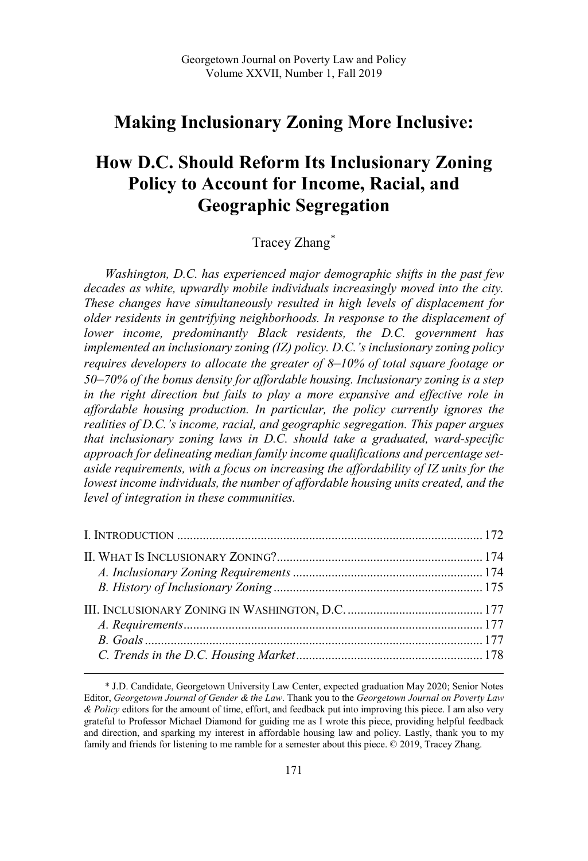## **Making Inclusionary Zoning More Inclusive:**

# **How D.C. Should Reform Its Inclusionary Zoning Policy to Account for Income, Racial, and Geographic Segregation**

## Tracey Zhang\*

*Washington, D.C. has experienced major demographic shifts in the past few decades as white, upwardly mobile individuals increasingly moved into the city. These changes have simultaneously resulted in high levels of displacement for older residents in gentrifying neighborhoods. In response to the displacement of lower income, predominantly Black residents, the D.C. government has implemented an inclusionary zoning (IZ) policy. D.C.'s inclusionary zoning policy requires developers to allocate the greater of 8*–*10% of total square footage or 50*–*70% of the bonus density for affordable housing. Inclusionary zoning is a step in the right direction but fails to play a more expansive and effective role in affordable housing production. In particular, the policy currently ignores the realities of D.C.'s income, racial, and geographic segregation. This paper argues that inclusionary zoning laws in D.C. should take a graduated, ward-specific approach for delineating median family income qualifications and percentage setaside requirements, with a focus on increasing the affordability of IZ units for the lowest income individuals, the number of affordable housing units created, and the level of integration in these communities.*

<sup>\*</sup> J.D. Candidate, Georgetown University Law Center, expected graduation May 2020; Senior Notes Editor, *Georgetown Journal of Gender & the Law*. Thank you to the *Georgetown Journal on Poverty Law & Policy* editors for the amount of time, effort, and feedback put into improving this piece. I am also very grateful to Professor Michael Diamond for guiding me as I wrote this piece, providing helpful feedback and direction, and sparking my interest in affordable housing law and policy. Lastly, thank you to my family and friends for listening to me ramble for a semester about this piece. © 2019, Tracey Zhang.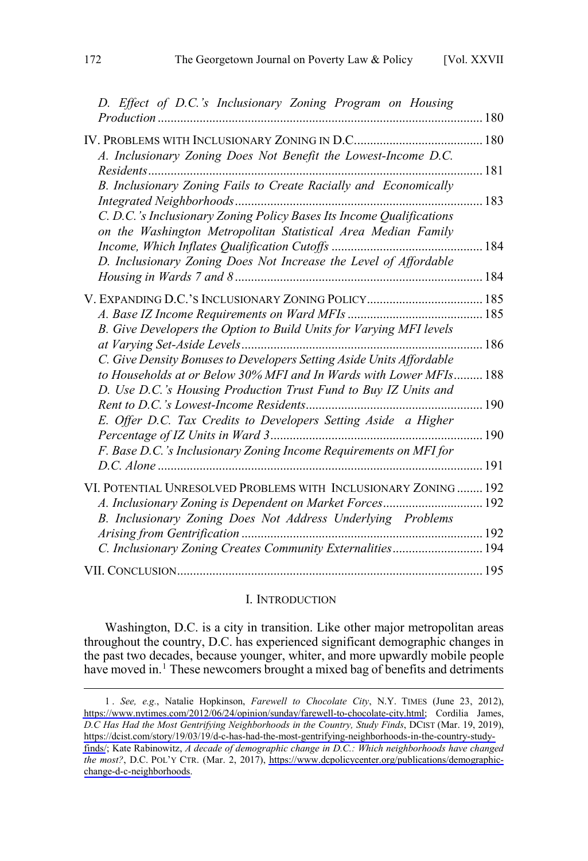<span id="page-1-0"></span>

| D. Effect of D.C.'s Inclusionary Zoning Program on Housing                                                                                 |     |
|--------------------------------------------------------------------------------------------------------------------------------------------|-----|
| A. Inclusionary Zoning Does Not Benefit the Lowest-Income D.C.                                                                             |     |
|                                                                                                                                            | 181 |
| B. Inclusionary Zoning Fails to Create Racially and Economically                                                                           |     |
| C. D.C.'s Inclusionary Zoning Policy Bases Its Income Qualifications<br>on the Washington Metropolitan Statistical Area Median Family      |     |
|                                                                                                                                            |     |
| D. Inclusionary Zoning Does Not Increase the Level of Affordable                                                                           |     |
|                                                                                                                                            |     |
|                                                                                                                                            |     |
| B. Give Developers the Option to Build Units for Varying MFI levels                                                                        |     |
| C. Give Density Bonuses to Developers Setting Aside Units Affordable<br>to Households at or Below 30% MFI and In Wards with Lower MFIs 188 |     |
| D. Use D.C.'s Housing Production Trust Fund to Buy IZ Units and                                                                            |     |
| E. Offer D.C. Tax Credits to Developers Setting Aside a Higher                                                                             |     |
| F. Base D.C.'s Inclusionary Zoning Income Requirements on MFI for                                                                          |     |
|                                                                                                                                            |     |
| VI. POTENTIAL UNRESOLVED PROBLEMS WITH INCLUSIONARY ZONING 192<br>A. Inclusionary Zoning is Dependent on Market Forces 192                 |     |
| B. Inclusionary Zoning Does Not Address Underlying Problems                                                                                |     |
| C. Inclusionary Zoning Creates Community Externalities 194                                                                                 |     |
|                                                                                                                                            |     |

#### I. INTRODUCTION

Washington, D.C. is a city in transition. Like other major metropolitan areas throughout the country, D.C. has experienced significant demographic changes in the past two decades, because younger, whiter, and more upwardly mobile people have moved in.<sup>1</sup> These newcomers brought a mixed bag of benefits and detriments

*See, e.g.*, Natalie Hopkinson, *Farewell to Chocolate City*, N.Y. TIMES (June 23, 2012), 1 . [https://www.nytimes.com/2012/06/24/opinion/sunday/farewell-to-chocolate-city.html;](https://www.nytimes.com/2012/06/24/opinion/sunday/farewell-to-chocolate-city.html) Cordilia James, *D.C Has Had the Most Gentrifying Neighborhoods in the Country, Study Finds*, DCIST (Mar. 19, 2019), [https://dcist.com/story/19/03/19/d-c-has-had-the-most-gentrifying-neighborhoods-in-the-country-study](https://dcist.com/story/19/03/19/d-c-has-had-the-most-gentrifying-neighborhoods-in-the-country-study-finds/)[finds/](https://dcist.com/story/19/03/19/d-c-has-had-the-most-gentrifying-neighborhoods-in-the-country-study-finds/); Kate Rabinowitz, *A decade of demographic change in D.C.: Which neighborhoods have changed the most?*, D.C. POL'Y CTR. (Mar. 2, 2017), [https://www.dcpolicycenter.org/publications/demographic](https://www.dcpolicycenter.org/publications/demographic-change-d-c-neighborhoods)[change-d-c-neighborhoods.](https://www.dcpolicycenter.org/publications/demographic-change-d-c-neighborhoods)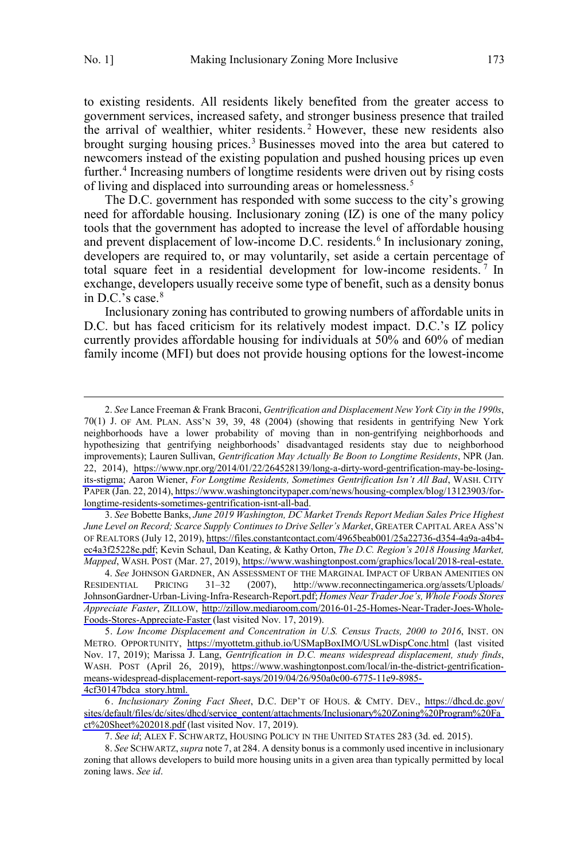$\overline{a}$ 

to existing residents. All residents likely benefited from the greater access to government services, increased safety, and stronger business presence that trailed the arrival of wealthier, whiter residents. <sup>2</sup> However, these new residents also brought surging housing prices.<sup>3</sup> Businesses moved into the area but catered to newcomers instead of the existing population and pushed housing prices up even further.<sup>4</sup> Increasing numbers of longtime residents were driven out by rising costs of living and displaced into surrounding areas or homelessness.<sup>5</sup>

The D.C. government has responded with some success to the city's growing need for affordable housing. Inclusionary zoning (IZ) is one of the many policy tools that the government has adopted to increase the level of affordable housing and prevent displacement of low-income D.C. residents.<sup>6</sup> In inclusionary zoning, developers are required to, or may voluntarily, set aside a certain percentage of total square feet in a residential development for low-income residents.<sup>7</sup> In exchange, developers usually receive some type of benefit, such as a density bonus in D.C.'s case. $8$ 

Inclusionary zoning has contributed to growing numbers of affordable units in D.C. but has faced criticism for its relatively modest impact. D.C.'s IZ policy currently provides affordable housing for individuals at 50% and 60% of median family income (MFI) but does not provide housing options for the lowest-income

*See* Bobette Banks, *June 2019 Washington, DC Market Trends Report Median Sales Price Highest* 3. *June Level on Record; Scarce Supply Continues to Drive Seller's Market*, GREATER CAPITAL AREA ASS'N OF REALTORS (July 12, 2019), [https://files.constantcontact.com/4965beab001/25a22736-d354-4a9a-a4b4](https://files.constantcontact.com/4965beab001/25a22736-d354-4a9a-a4b4-ec4a3f25228e.pdf) [ec4a3f25228e.pdf](https://files.constantcontact.com/4965beab001/25a22736-d354-4a9a-a4b4-ec4a3f25228e.pdf); Kevin Schaul, Dan Keating, & Kathy Orton, *The D.C. Region's 2018 Housing Market, Mapped*, WASH. POST (Mar. 27, 2019), [https://www.washingtonpost.com/graphics/local/2018-real-estate.](https://www.washingtonpost.com/graphics/local/2018-real-estate)

*See* JOHNSON GARDNER, AN ASSESSMENT OF THE MARGINAL IMPACT OF URBAN AMENITIES ON 4. RESIDENTIAL PRICING 31–32 (2007), [http://www.reconnectingamerica.org/assets/Uploads/](http://www.reconnectingamerica.org/assets/Uploads/JohnsonGardner-Urban-Living-Infra-Research-Report.pdf) [JohnsonGardner-Urban-Living-Infra-Research-Report.pdf;](http://www.reconnectingamerica.org/assets/Uploads/JohnsonGardner-Urban-Living-Infra-Research-Report.pdf) *Homes Near Trader Joe's, Whole Foods Stores Appreciate Faster*, ZILLOW, [http://zillow.mediaroom.com/2016-01-25-Homes-Near-Trader-Joes-Whole-](http://zillow.mediaroom.com/2016-01-25-Homes-Near-Trader-Joes-Whole-Foods-Stores-Appreciate-Faster)[Foods-Stores-Appreciate-Faster](http://zillow.mediaroom.com/2016-01-25-Homes-Near-Trader-Joes-Whole-Foods-Stores-Appreciate-Faster) (last visited Nov. 17, 2019).

*Low Income Displacement and Concentration in U.S. Census Tracts, 2000 to 2016*, INST. ON 5. METRO. OPPORTUNITY, <https://myottetm.github.io/USMapBoxIMO/USLwDispConc.html> (last visited Nov. 17, 2019); Marissa J. Lang, *Gentrification in D.C. means widespread displacement, study finds*, WASH. POST (April 26, 2019), [https://www.washingtonpost.com/local/in-the-district-gentrification](https://www.washingtonpost.com/local/in-the-district-gentrification-means-widespread-displacement-report-says/2019/04/26/950a0c00-6775-11e9-8985-4cf30147bdca_story.html)[means-widespread-displacement-report-says/2019/04/26/950a0c00-6775-11e9-8985-](https://www.washingtonpost.com/local/in-the-district-gentrification-means-widespread-displacement-report-says/2019/04/26/950a0c00-6775-11e9-8985-4cf30147bdca_story.html) [4cf30147bdca\\_story.html.](https://www.washingtonpost.com/local/in-the-district-gentrification-means-widespread-displacement-report-says/2019/04/26/950a0c00-6775-11e9-8985-4cf30147bdca_story.html)

*Inclusionary Zoning Fact Sheet*, D.C. DEP'T OF HOUS. & CMTY. DEV., [https://dhcd.dc.gov/](https://dhcd.dc.gov/sites/default/files/dc/sites/dhcd/service_content/attachments/Inclusionary%20Zoning%20Program%20Fact%20Sheet%202018.pdf) 6. [sites/default/files/dc/sites/dhcd/service\\_content/attachments/Inclusionary%20Zoning%20Program%20Fa](https://dhcd.dc.gov/sites/default/files/dc/sites/dhcd/service_content/attachments/Inclusionary%20Zoning%20Program%20Fact%20Sheet%202018.pdf) [ct%20Sheet%202018.pdf](https://dhcd.dc.gov/sites/default/files/dc/sites/dhcd/service_content/attachments/Inclusionary%20Zoning%20Program%20Fact%20Sheet%202018.pdf) (last visited Nov. 17, 2019).

7. *See id*; ALEX F. SCHWARTZ, HOUSING POLICY IN THE UNITED STATES 283 (3d. ed. 2015).

8. *See* SCHWARTZ, *supra* note 7, at 284. A density bonus is a commonly used incentive in inclusionary zoning that allows developers to build more housing units in a given area than typically permitted by local zoning laws. *See id*.

*See* Lance Freeman & Frank Braconi, *Gentrification and Displacement New York City in the 1990s*, 2. 70(1) J. OF AM. PLAN. ASS'N 39, 39, 48 (2004) (showing that residents in gentrifying New York neighborhoods have a lower probability of moving than in non-gentrifying neighborhoods and hypothesizing that gentrifying neighborhoods' disadvantaged residents stay due to neighborhood improvements); Lauren Sullivan, *Gentrification May Actually Be Boon to Longtime Residents*, NPR (Jan. 22, 2014), [https://www.npr.org/2014/01/22/264528139/long-a-dirty-word-gentrification-may-be-losing](https://www.npr.org/2014/01/22/264528139/long-a-dirty-word-gentrification-may-be-losing-its-stigma)[its-stigma;](https://www.npr.org/2014/01/22/264528139/long-a-dirty-word-gentrification-may-be-losing-its-stigma) Aaron Wiener, *For Longtime Residents, Sometimes Gentrification Isn't All Bad*, WASH. CITY PAPER (Jan. 22, 2014), [https://www.washingtoncitypaper.com/news/housing-complex/blog/13123903/for](https://www.washingtoncitypaper.com/news/housing-complex/blog/13123903/for-longtime-residents-sometimes-gentrification-isnt-all-bad)[longtime-residents-sometimes-gentrification-isnt-all-bad.](https://www.washingtoncitypaper.com/news/housing-complex/blog/13123903/for-longtime-residents-sometimes-gentrification-isnt-all-bad)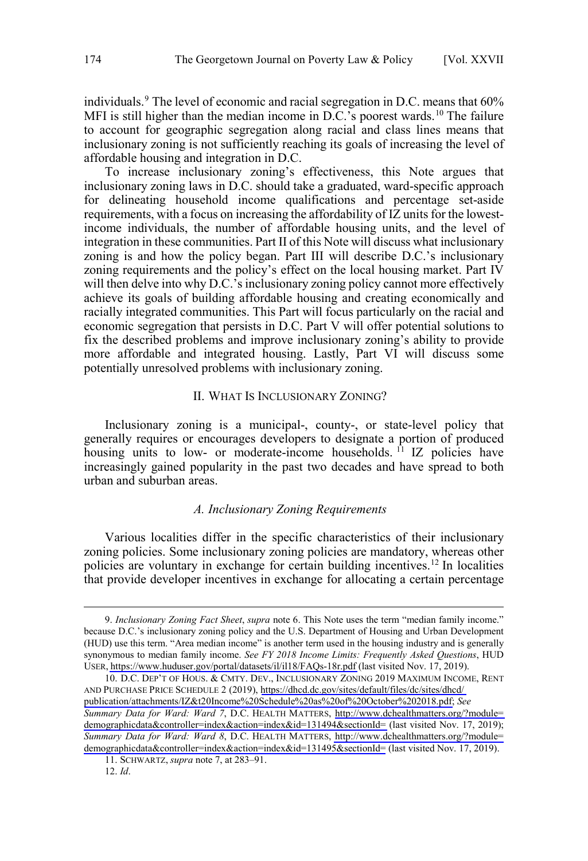<span id="page-3-0"></span>individuals.<sup>9</sup> The level of economic and racial segregation in D.C. means that 60% MFI is still higher than the median income in D.C.'s poorest wards.<sup>10</sup> The failure to account for geographic segregation along racial and class lines means that inclusionary zoning is not sufficiently reaching its goals of increasing the level of affordable housing and integration in D.C.

To increase inclusionary zoning's effectiveness, this Note argues that inclusionary zoning laws in D.C. should take a graduated, ward-specific approach for delineating household income qualifications and percentage set-aside requirements, with a focus on increasing the affordability of IZ units for the lowestincome individuals, the number of affordable housing units, and the level of integration in these communities. Part II of this Note will discuss what inclusionary zoning is and how the policy began. Part III will describe D.C.'s inclusionary zoning requirements and the policy's effect on the local housing market. Part IV will then delve into why D.C.'s inclusionary zoning policy cannot more effectively achieve its goals of building affordable housing and creating economically and racially integrated communities. This Part will focus particularly on the racial and economic segregation that persists in D.C. Part V will offer potential solutions to fix the described problems and improve inclusionary zoning's ability to provide more affordable and integrated housing. Lastly, Part VI will discuss some potentially unresolved problems with inclusionary zoning.

#### II. WHAT IS INCLUSIONARY ZONING?

Inclusionary zoning is a municipal-, county-, or state-level policy that generally requires or encourages developers to designate a portion of produced housing units to low- or moderate-income households. <sup>11</sup> IZ policies have increasingly gained popularity in the past two decades and have spread to both urban and suburban areas.

### *A. Inclusionary Zoning Requirements*

Various localities differ in the specific characteristics of their inclusionary zoning policies. Some inclusionary zoning policies are mandatory, whereas other policies are voluntary in exchange for certain building incentives.12 In localities that provide developer incentives in exchange for allocating a certain percentage

*Inclusionary Zoning Fact Sheet*, *supra* note 6. This Note uses the term "median family income." 9. because D.C.'s inclusionary zoning policy and the U.S. Department of Housing and Urban Development (HUD) use this term. "Area median income" is another term used in the housing industry and is generally synonymous to median family income. *See FY 2018 Income Limits: Frequently Asked Questions*, HUD USER, <https://www.huduser.gov/portal/datasets/il/il18/FAQs-18r.pdf> (last visited Nov. 17, 2019).

<sup>10.</sup> D.C. DEP'T OF HOUS. & CMTY. DEV., INCLUSIONARY ZONING 2019 MAXIMUM INCOME, RENT AND PURCHASE PRICE SCHEDULE 2 (2019), [https://dhcd.dc.gov/sites/default/files/dc/sites/dhcd/](https://dhcd.dc.gov/sites/default/files/dc/sites/dhcd/publication/attachments/IZ&t20Income%20Schedule%20as%20of%20October%202018.pdf) [publication/attachments/IZ&t20Income%20Schedule%20as%20of%20October%202018.pdf;](https://dhcd.dc.gov/sites/default/files/dc/sites/dhcd/publication/attachments/IZ&t20Income%20Schedule%20as%20of%20October%202018.pdf) *See Summary Data for Ward: Ward 7*, D.C. HEALTH MATTERS, [http://www.dchealthmatters.org/?module=](http://www.dchealthmatters.org/?module=demographicdata&controller=index&action=index&id=131494§ionId=) [demographicdata&controller=index&action=index&id=131494&sectionId=](http://www.dchealthmatters.org/?module=demographicdata&controller=index&action=index&id=131494§ionId=) (last visited Nov. 17, 2019); *Summary Data for Ward: Ward 8*, D.C. HEALTH MATTERS, [http://www.dchealthmatters.org/?module=](http://www.dchealthmatters.org/?module=demographicdata&controller=index&action=index&id=131495§ionId=) [demographicdata&controller=index&action=index&id=131495&sectionId=](http://www.dchealthmatters.org/?module=demographicdata&controller=index&action=index&id=131495§ionId=) (last visited Nov. 17, 2019).

<sup>11.</sup> SCHWARTZ, *supra* note 7, at 283–91.

<sup>12.</sup> *Id*.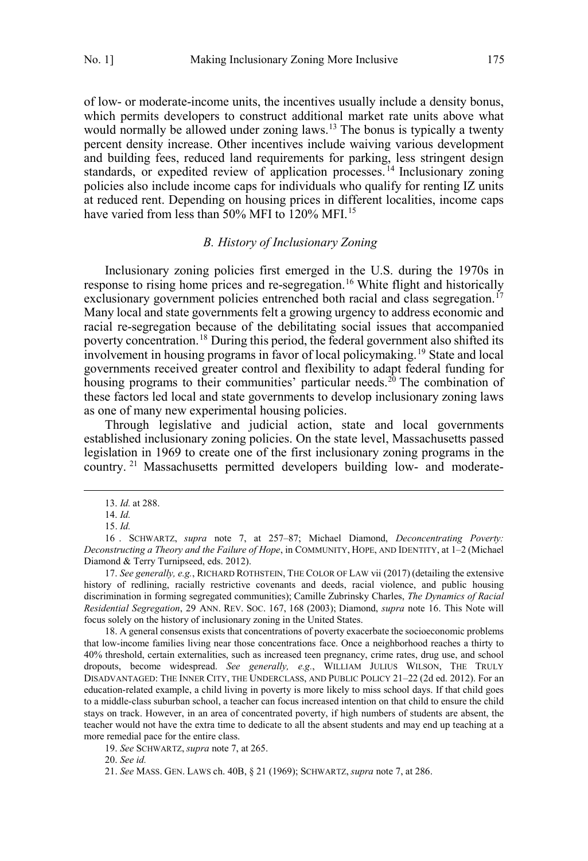<span id="page-4-0"></span>of low- or moderate-income units, the incentives usually include a density bonus, which permits developers to construct additional market rate units above what would normally be allowed under zoning laws.<sup>13</sup> The bonus is typically a twenty percent density increase. Other incentives include waiving various development and building fees, reduced land requirements for parking, less stringent design standards, or expedited review of application processes.<sup>14</sup> Inclusionary zoning policies also include income caps for individuals who qualify for renting IZ units at reduced rent. Depending on housing prices in different localities, income caps have varied from less than 50% MFI to 120% MFI.<sup>15</sup>

#### *B. History of Inclusionary Zoning*

Inclusionary zoning policies first emerged in the U.S. during the 1970s in response to rising home prices and re-segregation.<sup>16</sup> White flight and historically exclusionary government policies entrenched both racial and class segregation.<sup>17</sup> Many local and state governments felt a growing urgency to address economic and racial re-segregation because of the debilitating social issues that accompanied poverty concentration.<sup>18</sup> During this period, the federal government also shifted its involvement in housing programs in favor of local policymaking.19 State and local governments received greater control and flexibility to adapt federal funding for housing programs to their communities' particular needs.<sup>20</sup> The combination of these factors led local and state governments to develop inclusionary zoning laws as one of many new experimental housing policies.

Through legislative and judicial action, state and local governments established inclusionary zoning policies. On the state level, Massachusetts passed legislation in 1969 to create one of the first inclusionary zoning programs in the country. <sup>21</sup> Massachusetts permitted developers building low- and moderate-

18. A general consensus exists that concentrations of poverty exacerbate the socioeconomic problems that low-income families living near those concentrations face. Once a neighborhood reaches a thirty to 40% threshold, certain externalities, such as increased teen pregnancy, crime rates, drug use, and school dropouts, become widespread. *See generally, e.g.*, WILLIAM JULIUS WILSON, THE TRULY DISADVANTAGED: THE INNER CITY, THE UNDERCLASS, AND PUBLIC POLICY 21–22 (2d ed. 2012). For an education-related example, a child living in poverty is more likely to miss school days. If that child goes to a middle-class suburban school, a teacher can focus increased intention on that child to ensure the child stays on track. However, in an area of concentrated poverty, if high numbers of students are absent, the teacher would not have the extra time to dedicate to all the absent students and may end up teaching at a more remedial pace for the entire class.

19. *See* SCHWARTZ, *supra* note 7, at 265.

20. *See id.*

 <sup>13.</sup> *Id.* at 288.

<sup>14.</sup> *Id.*

<sup>15.</sup> *Id.*

<sup>16</sup> . SCHWARTZ, *supra* note 7, at 257–87; Michael Diamond, *Deconcentrating Poverty: Deconstructing a Theory and the Failure of Hope*, in COMMUNITY, HOPE, AND IDENTITY, at 1–2 (Michael Diamond & Terry Turnipseed, eds. 2012).

<sup>17.</sup> *See generally, e.g.*, RICHARD ROTHSTEIN, THE COLOR OF LAW vii (2017) (detailing the extensive history of redlining, racially restrictive covenants and deeds, racial violence, and public housing discrimination in forming segregated communities); Camille Zubrinsky Charles, *The Dynamics of Racial Residential Segregation*, 29 ANN. REV. SOC. 167, 168 (2003); Diamond, *supra* note 16. This Note will focus solely on the history of inclusionary zoning in the United States.

<sup>21.</sup> *See* MASS. GEN. LAWS ch. 40B, § 21 (1969); SCHWARTZ, *supra* note 7, at 286.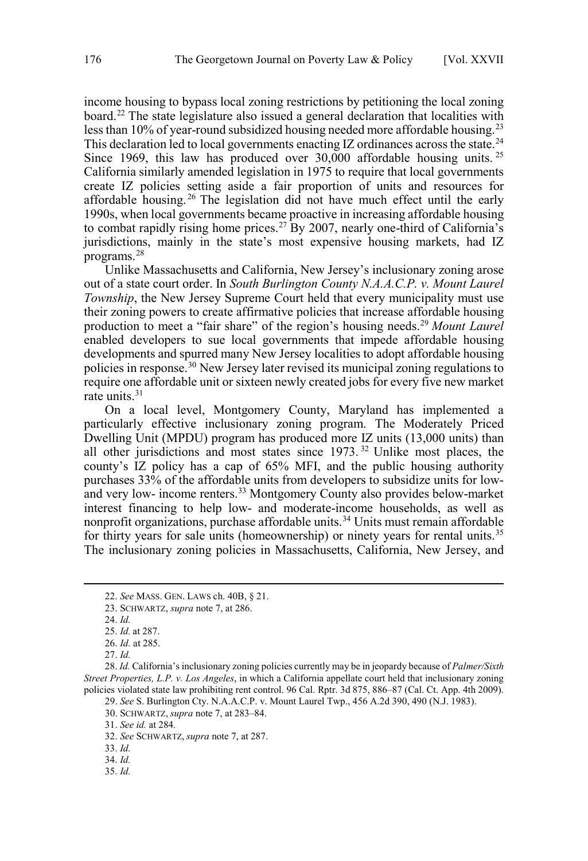income housing to bypass local zoning restrictions by petitioning the local zoning board.<sup>22</sup> The state legislature also issued a general declaration that localities with less than  $10\%$  of year-round subsidized housing needed more affordable housing.<sup>23</sup> This declaration led to local governments enacting IZ ordinances across the state.<sup>24</sup> Since 1969, this law has produced over  $30,000$  affordable housing units. <sup>25</sup> California similarly amended legislation in 1975 to require that local governments create IZ policies setting aside a fair proportion of units and resources for affordable housing. <sup>26</sup> The legislation did not have much effect until the early 1990s, when local governments became proactive in increasing affordable housing to combat rapidly rising home prices.<sup>27</sup> By 2007, nearly one-third of California's jurisdictions, mainly in the state's most expensive housing markets, had IZ programs.28

Unlike Massachusetts and California, New Jersey's inclusionary zoning arose out of a state court order. In *South Burlington County N.A.A.C.P. v. Mount Laurel Township*, the New Jersey Supreme Court held that every municipality must use their zoning powers to create affirmative policies that increase affordable housing production to meet a "fair share" of the region's housing needs.29 *Mount Laurel*  enabled developers to sue local governments that impede affordable housing developments and spurred many New Jersey localities to adopt affordable housing policies in response.30 New Jersey later revised its municipal zoning regulations to require one affordable unit or sixteen newly created jobs for every five new market rate units. $31$ 

On a local level, Montgomery County, Maryland has implemented a particularly effective inclusionary zoning program. The Moderately Priced Dwelling Unit (MPDU) program has produced more IZ units (13,000 units) than all other jurisdictions and most states since 1973. <sup>32</sup> Unlike most places, the county's IZ policy has a cap of 65% MFI, and the public housing authority purchases 33% of the affordable units from developers to subsidize units for lowand very low- income renters.<sup>33</sup> Montgomery County also provides below-market interest financing to help low- and moderate-income households, as well as nonprofit organizations, purchase affordable units.34 Units must remain affordable for thirty years for sale units (homeownership) or ninety years for rental units.<sup>35</sup> The inclusionary zoning policies in Massachusetts, California, New Jersey, and

 $\overline{a}$ 

28. *Id.* California's inclusionary zoning policies currently may be in jeopardy because of *Palmer/Sixth Street Properties, L.P. v. Los Angeles*, in which a California appellate court held that inclusionary zoning policies violated state law prohibiting rent control. 96 Cal. Rptr. 3d 875, 886–87 (Cal. Ct. App. 4th 2009).

<sup>22.</sup> *See* MASS. GEN. LAWS ch. 40B, § 21.

<sup>23.</sup> SCHWARTZ, *supra* note 7, at 286.

<sup>24.</sup> *Id.*

<sup>25.</sup> *Id.* at 287.

<sup>26.</sup> *Id.* at 285.

<sup>27.</sup> *Id.*

<sup>29.</sup> *See* S. Burlington Cty. N.A.A.C.P. v. Mount Laurel Twp., 456 A.2d 390, 490 (N.J. 1983).

<sup>30.</sup> SCHWARTZ, *supra* note 7, at 283–84.

<sup>31.</sup> *See id.* at 284*.*

<sup>32.</sup> *See* SCHWARTZ, *supra* note 7, at 287.

<sup>33.</sup> *Id.*

<sup>34.</sup> *Id.*

<sup>35.</sup> *Id.*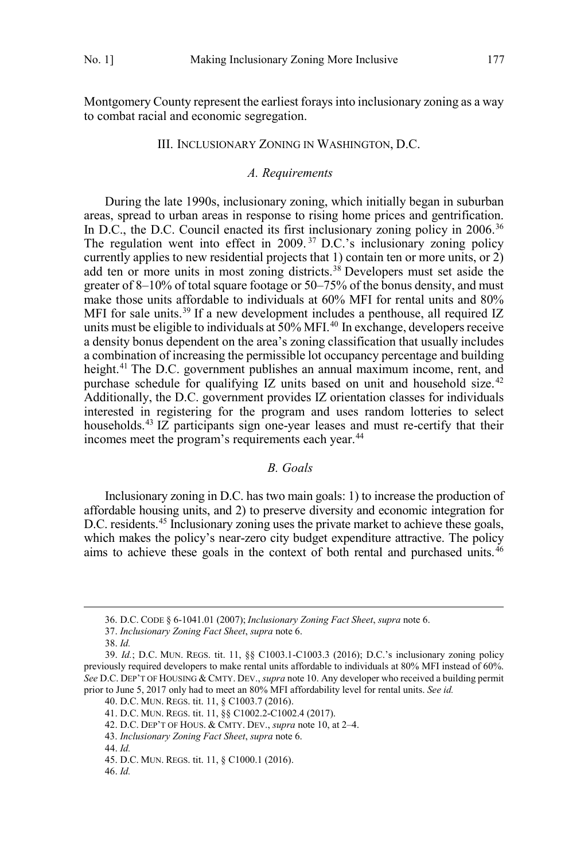<span id="page-6-0"></span>Montgomery County represent the earliest forays into inclusionary zoning as a way to combat racial and economic segregation.

#### III. INCLUSIONARY ZONING IN WASHINGTON, D.C.

#### *A. Requirements*

During the late 1990s, inclusionary zoning, which initially began in suburban areas, spread to urban areas in response to rising home prices and gentrification. In D.C., the D.C. Council enacted its first inclusionary zoning policy in 2006.<sup>36</sup> The regulation went into effect in 2009.<sup>37</sup> D.C.'s inclusionary zoning policy currently applies to new residential projects that 1) contain ten or more units, or 2) add ten or more units in most zoning districts.<sup>38</sup> Developers must set aside the greater of 8–10% of total square footage or 50–75% of the bonus density, and must make those units affordable to individuals at 60% MFI for rental units and 80% MFI for sale units.<sup>39</sup> If a new development includes a penthouse, all required IZ units must be eligible to individuals at  $50\%$  MFI.<sup>40</sup> In exchange, developers receive a density bonus dependent on the area's zoning classification that usually includes a combination of increasing the permissible lot occupancy percentage and building height.<sup>41</sup> The D.C. government publishes an annual maximum income, rent, and purchase schedule for qualifying IZ units based on unit and household size.<sup>42</sup> Additionally, the D.C. government provides IZ orientation classes for individuals interested in registering for the program and uses random lotteries to select households.<sup>43</sup> IZ participants sign one-year leases and must re-certify that their incomes meet the program's requirements each year.<sup>44</sup>

### *B. Goals*

Inclusionary zoning in D.C. has two main goals: 1) to increase the production of affordable housing units, and 2) to preserve diversity and economic integration for D.C. residents.<sup>45</sup> Inclusionary zoning uses the private market to achieve these goals, which makes the policy's near-zero city budget expenditure attractive. The policy aims to achieve these goals in the context of both rental and purchased units. $46$ 

 $\overline{a}$ 

40. D.C. MUN. REGS. tit. 11, § C1003.7 (2016).

<sup>36.</sup> D.C. CODE § 6-1041.01 (2007); *Inclusionary Zoning Fact Sheet*, *supra* note 6.

<sup>37.</sup> *Inclusionary Zoning Fact Sheet*, *supra* note 6.

<sup>38.</sup> *Id.*

<sup>39.</sup> *Id.*; D.C. MUN. REGS. tit. 11, §§ C1003.1-C1003.3 (2016); D.C.'s inclusionary zoning policy previously required developers to make rental units affordable to individuals at 80% MFI instead of 60%. *See* D.C. DEP'T OF HOUSING & CMTY. DEV., *supra* note 10. Any developer who received a building permit prior to June 5, 2017 only had to meet an 80% MFI affordability level for rental units. *See id.*

<sup>41.</sup> D.C. MUN. REGS. tit. 11, §§ C1002.2-C1002.4 (2017).

<sup>42.</sup> D.C. DEP'T OF HOUS. & CMTY. DEV., *supra* note 10, at 2–4.

<sup>43.</sup> *Inclusionary Zoning Fact Sheet*, *supra* note 6.

<sup>44.</sup> *Id.*

<sup>45.</sup> D.C. MUN. REGS. tit. 11, § C1000.1 (2016).

<sup>46.</sup> *Id.*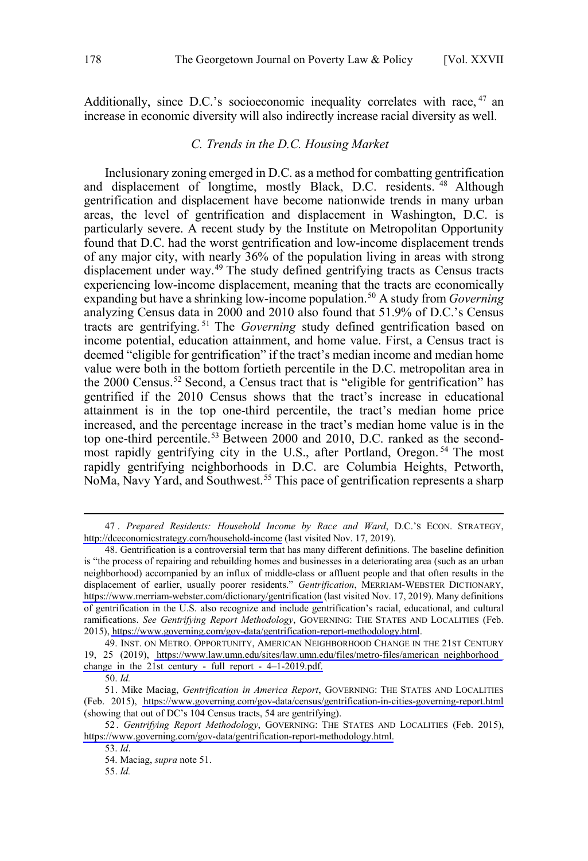<span id="page-7-0"></span>Additionally, since D.C.'s socioeconomic inequality correlates with race, <sup>47</sup> an increase in economic diversity will also indirectly increase racial diversity as well.

#### *C. Trends in the D.C. Housing Market*

Inclusionary zoning emerged in D.C. as a method for combatting gentrification and displacement of longtime, mostly Black, D.C. residents. <sup>48</sup> Although gentrification and displacement have become nationwide trends in many urban areas, the level of gentrification and displacement in Washington, D.C. is particularly severe. A recent study by the Institute on Metropolitan Opportunity found that D.C. had the worst gentrification and low-income displacement trends of any major city, with nearly 36% of the population living in areas with strong displacement under way.<sup>49</sup> The study defined gentrifying tracts as Census tracts experiencing low-income displacement, meaning that the tracts are economically expanding but have a shrinking low-income population.50 A study from *Governing*  analyzing Census data in 2000 and 2010 also found that 51.9% of D.C.'s Census tracts are gentrifying. <sup>51</sup> The *Governing* study defined gentrification based on income potential, education attainment, and home value. First, a Census tract is deemed "eligible for gentrification" if the tract's median income and median home value were both in the bottom fortieth percentile in the D.C. metropolitan area in the 2000 Census.<sup>52</sup> Second, a Census tract that is "eligible for gentrification" has gentrified if the 2010 Census shows that the tract's increase in educational attainment is in the top one-third percentile, the tract's median home price increased, and the percentage increase in the tract's median home value is in the top one-third percentile.53 Between 2000 and 2010, D.C. ranked as the secondmost rapidly gentrifying city in the U.S., after Portland, Oregon. <sup>54</sup> The most rapidly gentrifying neighborhoods in D.C. are Columbia Heights, Petworth, NoMa, Navy Yard, and Southwest.<sup>55</sup> This pace of gentrification represents a sharp

*Prepared Residents: Household Income by Race and Ward*, D.C.'S ECON. STRATEGY, 47 . <http://dceconomicstrategy.com/household-income> (last visited Nov. 17, 2019).

<sup>48.</sup> Gentrification is a controversial term that has many different definitions. The baseline definition is "the process of repairing and rebuilding homes and businesses in a deteriorating area (such as an urban neighborhood) accompanied by an influx of middle-class or affluent people and that often results in the displacement of earlier, usually poorer residents." *Gentrification*, MERRIAM-WEBSTER DICTIONARY, <https://www.merriam-webster.com/dictionary/gentrification> (last visited Nov. 17, 2019). Many definitions of gentrification in the U.S. also recognize and include gentrification's racial, educational, and cultural ramifications. *See Gentrifying Report Methodology*, GOVERNING: THE STATES AND LOCALITIES (Feb. 2015),<https://www.governing.com/gov-data/gentrification-report-methodology.html>.

<sup>49.</sup> INST. ON METRO. OPPORTUNITY, AMERICAN NEIGHBORHOOD CHANGE IN THE 21ST CENTURY 19, 25 (2019), [https://www.law.umn.edu/sites/law.umn.edu/files/metro-files/american\\_neighborhood\\_](https://www.law.umn.edu/sites/law.umn.edu/files/metro-files/american_neighborhood_change_in_the_21st_century_-_full_report_-_4%E2%80%931-2019.pdf) change in the 21st century - full report -  $4-1-2019$ .pdf.

<sup>50.</sup> *Id.*

<sup>51.</sup> Mike Maciag, Gentrification in America Report, GOVERNING: THE STATES AND LOCALITIES (Feb. 2015), <https://www.governing.com/gov-data/census/gentrification-in-cities-governing-report.html> (showing that out of DC's 104 Census tracts, 54 are gentrifying).

<sup>52.</sup> Gentrifying Report Methodology, GOVERNING: THE STATES AND LOCALITIES (Feb. 2015), [https://www.governing.com/gov-data/gentrification-report-methodology.html.](https://www.governing.com/gov-data/gentrification-report-methodology.html)

<sup>53.</sup> *Id*.

<sup>54.</sup> Maciag, *supra* note 51.

<sup>55.</sup> *Id.*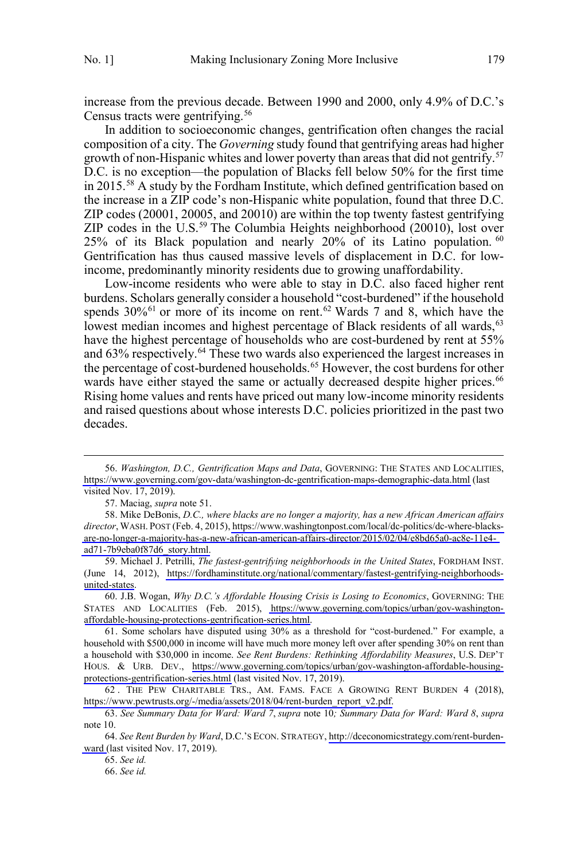increase from the previous decade. Between 1990 and 2000, only 4.9% of D.C.'s Census tracts were gentrifying.<sup>56</sup>

In addition to socioeconomic changes, gentrification often changes the racial composition of a city. The *Governing* study found that gentrifying areas had higher growth of non-Hispanic whites and lower poverty than areas that did not gentrify.<sup>57</sup> D.C. is no exception—the population of Blacks fell below 50% for the first time in 2015.58 A study by the Fordham Institute, which defined gentrification based on the increase in a ZIP code's non-Hispanic white population, found that three D.C. ZIP codes (20001, 20005, and 20010) are within the top twenty fastest gentrifying ZIP codes in the U.S. $^{59}$  The Columbia Heights neighborhood (20010), lost over 25% of its Black population and nearly 20% of its Latino population. <sup>60</sup> Gentrification has thus caused massive levels of displacement in D.C. for lowincome, predominantly minority residents due to growing unaffordability.

Low-income residents who were able to stay in D.C. also faced higher rent burdens. Scholars generally consider a household "cost-burdened" if the household spends  $30\%$ <sup>61</sup> or more of its income on rent.<sup>62</sup> Wards 7 and 8, which have the lowest median incomes and highest percentage of Black residents of all wards,<sup>63</sup> have the highest percentage of households who are cost-burdened by rent at 55% and 63% respectively.<sup>64</sup> These two wards also experienced the largest increases in the percentage of cost-burdened households.<sup>65</sup> However, the cost burdens for other wards have either stayed the same or actually decreased despite higher prices.<sup>66</sup> Rising home values and rents have priced out many low-income minority residents and raised questions about whose interests D.C. policies prioritized in the past two decades.

*Washington, D.C., Gentrification Maps and Data*, GOVERNING: THE STATES AND LOCALITIES, 56. <https://www.governing.com/gov-data/washington-dc-gentrification-maps-demographic-data.html> (last visited Nov. 17, 2019).

<sup>57.</sup> Maciag, *supra* note 51.

<sup>58.</sup> Mike DeBonis, *D.C., where blacks are no longer a majority, has a new African American affairs director*,WASH. POST (Feb. 4, 2015), [https://www.washingtonpost.com/local/dc-politics/dc-where-blacks](https://www.washingtonpost.com/local/dc-politics/dc-where-blacks-are-no-longer-a-majority-has-a-new-african-american-affairs-director/2015/02/04/e8bd65a0-ac8e-11e4-ad71-7b9eba0f87d6_story.html)[are-no-longer-a-majority-has-a-new-african-american-affairs-director/2015/02/04/e8bd65a0-ac8e-11e4](https://www.washingtonpost.com/local/dc-politics/dc-where-blacks-are-no-longer-a-majority-has-a-new-african-american-affairs-director/2015/02/04/e8bd65a0-ac8e-11e4-ad71-7b9eba0f87d6_story.html) [ad71-7b9eba0f87d6\\_story.html.](https://www.washingtonpost.com/local/dc-politics/dc-where-blacks-are-no-longer-a-majority-has-a-new-african-american-affairs-director/2015/02/04/e8bd65a0-ac8e-11e4-ad71-7b9eba0f87d6_story.html)

<sup>59.</sup> Michael J. Petrilli, *The fastest-gentrifying neighborhoods in the United States*, FORDHAM INST. (June 14, 2012), [https://fordhaminstitute.org/national/commentary/fastest-gentrifying-neighborhoods](https://fordhaminstitute.org/national/commentary/fastest-gentrifying-neighborhoods-united-states)[united-states](https://fordhaminstitute.org/national/commentary/fastest-gentrifying-neighborhoods-united-states).

<sup>60.</sup> J.B. Wogan, Why D.C.'s Affordable Housing Crisis is Losing to Economics, GOVERNING: THE STATES AND LOCALITIES (Feb. 2015), [https://www.governing.com/topics/urban/gov-washington](https://www.governing.com/topics/urban/gov-washington-affordable-housing-protections-gentrification-series.html)[affordable-housing-protections-gentrification-series.html.](https://www.governing.com/topics/urban/gov-washington-affordable-housing-protections-gentrification-series.html)

<sup>61.</sup> Some scholars have disputed using 30% as a threshold for "cost-burdened." For example, a household with \$500,000 in income will have much more money left over after spending 30% on rent than a household with \$30,000 in income. *See Rent Burdens: Rethinking Affordability Measures*, U.S. DEP'T HOUS. & URB. DEV., [https://www.governing.com/topics/urban/gov-washington-affordable-housing](https://www.governing.com/topics/urban/gov-washington-affordable-housing-protections-gentrification-series.html)[protections-gentrification-series.html](https://www.governing.com/topics/urban/gov-washington-affordable-housing-protections-gentrification-series.html) (last visited Nov. 17, 2019).

<sup>62.</sup> THE PEW CHARITABLE TRS., AM. FAMS. FACE A GROWING RENT BURDEN 4 (2018), [https://www.pewtrusts.org/-/media/assets/2018/04/rent-burden\\_report\\_v2.pdf.](https://www.pewtrusts.org/-/media/assets/2018/04/rent-burden_report_v2.pdf)

<sup>63.</sup> *See Summary Data for Ward: Ward 7*, *supra* note 10*; Summary Data for Ward: Ward 8*, *supra* note 10.

*See Rent Burden by Ward*, D.C.'S ECON. STRATEGY, [http://dceconomicstrategy.com/rent-burden-](http://dceconomicstrategy.com/rent-burden-ward)64. [ward](http://dceconomicstrategy.com/rent-burden-ward) (last visited Nov. 17, 2019).

<sup>65.</sup> *See id.*

<sup>66.</sup> *See id.*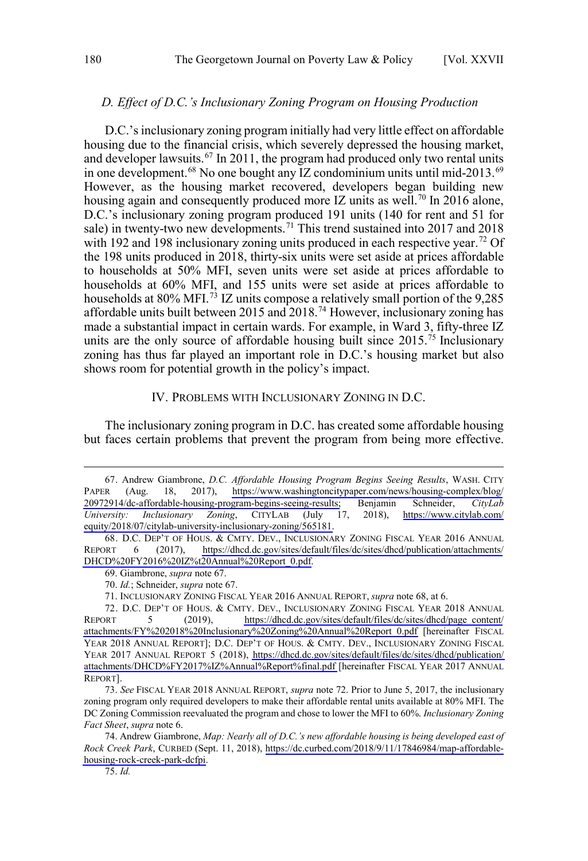#### <span id="page-9-0"></span>*D. Effect of D.C.'s Inclusionary Zoning Program on Housing Production*

D.C.'s inclusionary zoning program initially had very little effect on affordable housing due to the financial crisis, which severely depressed the housing market, and developer lawsuits.<sup>67</sup> In 2011, the program had produced only two rental units in one development.<sup>68</sup> No one bought any IZ condominium units until mid-2013.<sup>69</sup> However, as the housing market recovered, developers began building new housing again and consequently produced more IZ units as well.<sup>70</sup> In 2016 alone, D.C.'s inclusionary zoning program produced 191 units (140 for rent and 51 for sale) in twenty-two new developments.<sup>71</sup> This trend sustained into 2017 and 2018 with 192 and 198 inclusionary zoning units produced in each respective year.<sup>72</sup> Of the 198 units produced in 2018, thirty-six units were set aside at prices affordable to households at 50% MFI, seven units were set aside at prices affordable to households at 60% MFI, and 155 units were set aside at prices affordable to households at 80% MFI.<sup>73</sup> IZ units compose a relatively small portion of the 9,285 affordable units built between 2015 and 2018.74 However, inclusionary zoning has made a substantial impact in certain wards. For example, in Ward 3, fifty-three IZ units are the only source of affordable housing built since 2015.<sup>75</sup> Inclusionary zoning has thus far played an important role in D.C.'s housing market but also shows room for potential growth in the policy's impact.

### IV. PROBLEMS WITH INCLUSIONARY ZONING IN D.C.

The inclusionary zoning program in D.C. has created some affordable housing but faces certain problems that prevent the program from being more effective.

<sup>67.</sup> Andrew Giambrone, *D.C. Affordable Housing Program Begins Seeing Results*, WASH. CITY PAPER (Aug. 18, 2017), [https://www.washingtoncitypaper.com/news/housing-complex/blog/](https://www.washingtoncitypaper.com/news/housing-complex/blog/20972914/dc-affordable-housing-program-begins-seeing-results) [20972914/dc-affordable-housing-program-begins-seeing-results;](https://www.washingtoncitypaper.com/news/housing-complex/blog/20972914/dc-affordable-housing-program-begins-seeing-results) Benjamin Schneider, *CityLab University: Inclusionary Zoning*, CITYLAB (July 17, 2018), [https://www.citylab.com/](https://www.citylab.com/equity/2018/07/citylab-university-inclusionary-zoning/565181) [equity/2018/07/citylab-university-inclusionary-zoning/565181.](https://www.citylab.com/equity/2018/07/citylab-university-inclusionary-zoning/565181)

<sup>68.</sup> D.C. DEP'T OF HOUS. & CMTY. DEV., INCLUSIONARY ZONING FISCAL YEAR 2016 ANNUAL REPORT 6 (2017), [https://dhcd.dc.gov/sites/default/files/dc/sites/dhcd/publication/attachments/](https://dhcd.dc.gov/sites/default/files/dc/sites/dhcd/publication/attachments/DHCD%20FY2016%20IZ%t20Annual%20Report_0.pdf) [DHCD%20FY2016%20IZ%t20Annual%20Report\\_0.pdf.](https://dhcd.dc.gov/sites/default/files/dc/sites/dhcd/publication/attachments/DHCD%20FY2016%20IZ%t20Annual%20Report_0.pdf)

<sup>69.</sup> Giambrone, *supra* note 67.

<sup>70.</sup> *Id.*; Schneider, *supra* note 67.

<sup>71.</sup> INCLUSIONARY ZONING FISCAL YEAR 2016 ANNUAL REPORT, *supra* note 68, at 6.

<sup>72.</sup> D.C. DEP'T OF HOUS. & CMTY. DEV., INCLUSIONARY ZONING FISCAL YEAR 2018 ANNUAL REPORT 5 (2019), [https://dhcd.dc.gov/sites/default/files/dc/sites/dhcd/page\\_content/](https://dhcd.dc.gov/sites/default/files/dc/sites/dhcd/page_content/attachments/FY%202018%20Inclusionary%20Zoning%20Annual%20Report_0.pdf) [attachments/FY%202018%20Inclusionary%20Zoning%20Annual%20Report\\_0.pdf](https://dhcd.dc.gov/sites/default/files/dc/sites/dhcd/page_content/attachments/FY%202018%20Inclusionary%20Zoning%20Annual%20Report_0.pdf) [hereinafter FISCAL YEAR 2018 ANNUAL REPORT]; D.C. DEP'T OF HOUS. & CMTY. DEV., INCLUSIONARY ZONING FISCAL YEAR 2017 ANNUAL REPORT 5 (2018), [https://dhcd.dc.gov/sites/default/files/dc/sites/dhcd/publication/](https://dhcd.dc.gov/sites/default/files/dc/sites/dhcd/publication/attachments/DHCD%FY2017%IZ%Annual%Report%final.pdf) [attachments/DHCD%FY2017%IZ%Annual%Report%final.pdf](https://dhcd.dc.gov/sites/default/files/dc/sites/dhcd/publication/attachments/DHCD%FY2017%IZ%Annual%Report%final.pdf) [hereinafter FISCAL YEAR 2017 ANNUAL REPORT].

<sup>73.</sup> *See* FISCAL YEAR 2018 ANNUAL REPORT, *supra* note 72. Prior to June 5, 2017, the inclusionary zoning program only required developers to make their affordable rental units available at 80% MFI. The DC Zoning Commission reevaluated the program and chose to lower the MFI to 60%. *Inclusionary Zoning Fact Sheet*, *supra* note 6.

Andrew Giambrone, *Map: Nearly all of D.C.'s new affordable housing is being developed east of*  74. *Rock Creek Park*, CURBED (Sept. 11, 2018), [https://dc.curbed.com/2018/9/11/17846984/map-affordable](https://dc.curbed.com/2018/9/11/17846984/map-affordable-housing-rock-creek-park-dcfpi)[housing-rock-creek-park-dcfpi.](https://dc.curbed.com/2018/9/11/17846984/map-affordable-housing-rock-creek-park-dcfpi)

<sup>75.</sup> *Id.*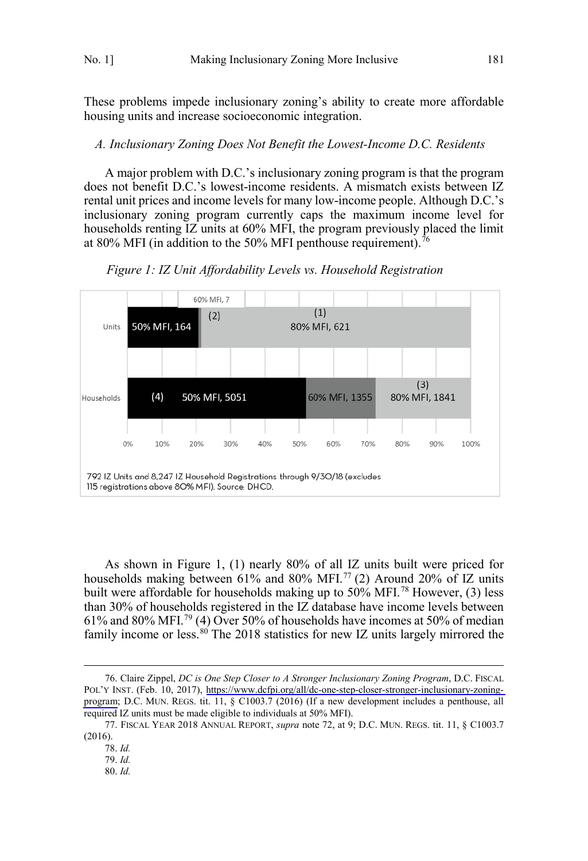<span id="page-10-0"></span>These problems impede inclusionary zoning's ability to create more affordable housing units and increase socioeconomic integration.

#### *A. Inclusionary Zoning Does Not Benefit the Lowest-Income D.C. Residents*

A major problem with D.C.'s inclusionary zoning program is that the program does not benefit D.C.'s lowest-income residents. A mismatch exists between IZ rental unit prices and income levels for many low-income people. Although D.C.'s inclusionary zoning program currently caps the maximum income level for households renting IZ units at 60% MFI, the program previously placed the limit at 80% MFI (in addition to the 50% MFI penthouse requirement).<sup>76</sup>



*Figure 1: IZ Unit Affordability Levels vs. Household Registration*

As shown in Figure 1, (1) nearly 80% of all IZ units built were priced for households making between 61% and 80% MFI.<sup>77</sup> (2) Around 20% of IZ units built were affordable for households making up to 50% MFI. <sup>78</sup> However, (3) less than 30% of households registered in the IZ database have income levels between 61% and 80% MFI.<sup>79</sup> (4) Over 50% of households have incomes at 50% of median family income or less. $80$ <sup> The 2018</sup> statistics for new IZ units largely mirrored the

<sup>76.</sup> Claire Zippel, *DC is One Step Closer to A Stronger Inclusionary Zoning Program*, D.C. FISCAL POL'Y INST. (Feb. 10, 2017), [https://www.dcfpi.org/all/dc-one-step-closer-stronger-inclusionary-zoning](https://www.dcfpi.org/all/dc-one-step-closer-stronger-inclusionary-zoning-program)[program;](https://www.dcfpi.org/all/dc-one-step-closer-stronger-inclusionary-zoning-program) D.C. MUN. REGS. tit. 11, § C1003.7 (2016) (If a new development includes a penthouse, all required IZ units must be made eligible to individuals at 50% MFI).

<sup>77.</sup> FISCAL YEAR 2018 ANNUAL REPORT, *supra* note 72, at 9; D.C. MUN. REGS. tit. 11, § C1003.7 (2016).

<sup>78.</sup> *Id.*

<sup>79.</sup> *Id.*

<sup>80.</sup> *Id.*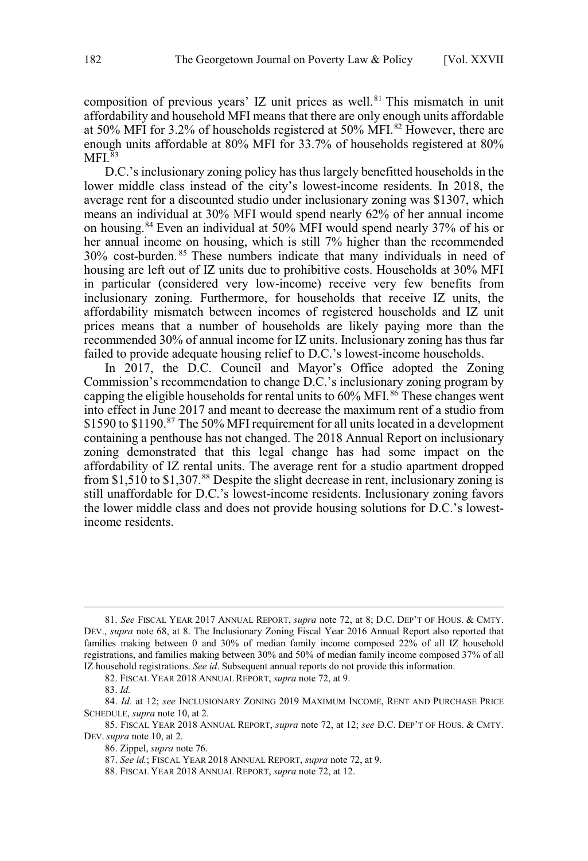composition of previous years' IZ unit prices as well.<sup>81</sup> This mismatch in unit affordability and household MFI means that there are only enough units affordable at 50% MFI for 3.2% of households registered at 50% MFI.82 However, there are enough units affordable at 80% MFI for 33.7% of households registered at 80%  $MFI.$ <sup>83</sup>

D.C.'s inclusionary zoning policy has thus largely benefitted households in the lower middle class instead of the city's lowest-income residents. In 2018, the average rent for a discounted studio under inclusionary zoning was \$1307, which means an individual at 30% MFI would spend nearly 62% of her annual income on housing.84 Even an individual at 50% MFI would spend nearly 37% of his or her annual income on housing, which is still 7% higher than the recommended 30% cost-burden. <sup>85</sup> These numbers indicate that many individuals in need of housing are left out of IZ units due to prohibitive costs. Households at 30% MFI in particular (considered very low-income) receive very few benefits from inclusionary zoning. Furthermore, for households that receive IZ units, the affordability mismatch between incomes of registered households and IZ unit prices means that a number of households are likely paying more than the recommended 30% of annual income for IZ units. Inclusionary zoning has thus far failed to provide adequate housing relief to D.C.'s lowest-income households.

In 2017, the D.C. Council and Mayor's Office adopted the Zoning Commission's recommendation to change D.C.'s inclusionary zoning program by capping the eligible households for rental units to  $60\%$  MFI.<sup>86</sup> These changes went into effect in June 2017 and meant to decrease the maximum rent of a studio from \$1590 to \$1190.<sup>87</sup> The 50% MFI requirement for all units located in a development containing a penthouse has not changed. The 2018 Annual Report on inclusionary zoning demonstrated that this legal change has had some impact on the affordability of IZ rental units. The average rent for a studio apartment dropped from \$1,510 to \$1,307.<sup>88</sup> Despite the slight decrease in rent, inclusionary zoning is still unaffordable for D.C.'s lowest-income residents. Inclusionary zoning favors the lower middle class and does not provide housing solutions for D.C.'s lowestincome residents.

<sup>81.</sup> *See* FISCAL YEAR 2017 ANNUAL REPORT, *supra* note 72, at 8; D.C. DEP'T OF HOUS. & CMTY. DEV., *supra* note 68, at 8. The Inclusionary Zoning Fiscal Year 2016 Annual Report also reported that families making between 0 and 30% of median family income composed 22% of all IZ household registrations, and families making between 30% and 50% of median family income composed 37% of all IZ household registrations. *See id*. Subsequent annual reports do not provide this information.

<sup>82.</sup> FISCAL YEAR 2018 ANNUAL REPORT, *supra* note 72, at 9.

<sup>83.</sup> *Id.*

<sup>84.</sup> *Id.* at 12; *see* INCLUSIONARY ZONING 2019 MAXIMUM INCOME, RENT AND PURCHASE PRICE SCHEDULE, *supra* note 10, at 2.

<sup>85.</sup> FISCAL YEAR 2018 ANNUAL REPORT, *supra* note 72, at 12; *see* D.C. DEP'T OF HOUS. & CMTY. DEV. *supra* note 10, at 2.

<sup>86.</sup> Zippel, *supra* note 76.

<sup>87.</sup> *See id.*; FISCAL YEAR 2018 ANNUAL REPORT, *supra* note 72, at 9.

<sup>88.</sup> FISCAL YEAR 2018 ANNUAL REPORT, *supra* note 72, at 12.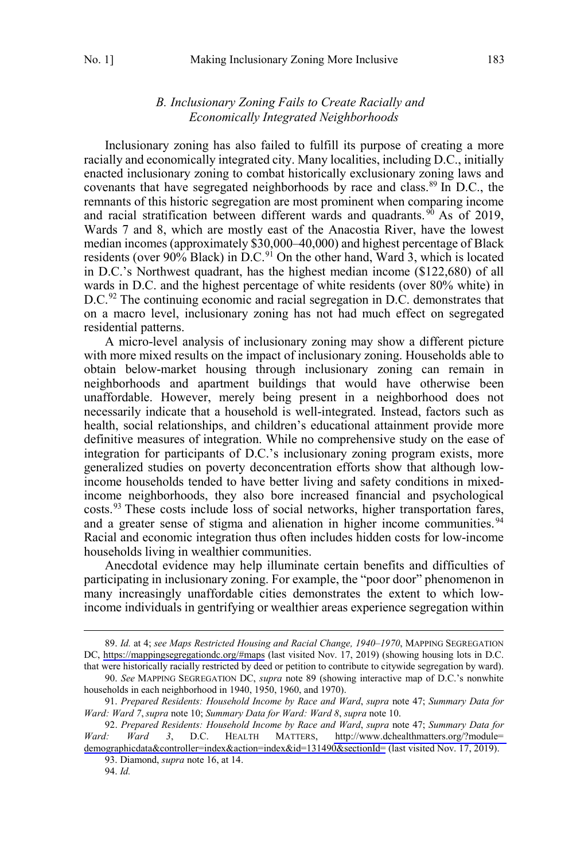## *B. Inclusionary Zoning Fails to Create Racially and Economically Integrated Neighborhoods*

<span id="page-12-0"></span>Inclusionary zoning has also failed to fulfill its purpose of creating a more racially and economically integrated city. Many localities, including D.C., initially enacted inclusionary zoning to combat historically exclusionary zoning laws and covenants that have segregated neighborhoods by race and class.<sup>89</sup> In D.C., the remnants of this historic segregation are most prominent when comparing income and racial stratification between different wards and quadrants.<sup>90</sup> As of 2019, Wards 7 and 8, which are mostly east of the Anacostia River, have the lowest median incomes (approximately \$30,000–40,000) and highest percentage of Black residents (over  $90\%$  Black) in D.C.<sup>91</sup> On the other hand, Ward 3, which is located in D.C.'s Northwest quadrant, has the highest median income (\$122,680) of all wards in D.C. and the highest percentage of white residents (over 80% white) in D.C.<sup>92</sup> The continuing economic and racial segregation in D.C. demonstrates that on a macro level, inclusionary zoning has not had much effect on segregated residential patterns.

A micro-level analysis of inclusionary zoning may show a different picture with more mixed results on the impact of inclusionary zoning. Households able to obtain below-market housing through inclusionary zoning can remain in neighborhoods and apartment buildings that would have otherwise been unaffordable. However, merely being present in a neighborhood does not necessarily indicate that a household is well-integrated. Instead, factors such as health, social relationships, and children's educational attainment provide more definitive measures of integration. While no comprehensive study on the ease of integration for participants of D.C.'s inclusionary zoning program exists, more generalized studies on poverty deconcentration efforts show that although lowincome households tended to have better living and safety conditions in mixedincome neighborhoods, they also bore increased financial and psychological costs.93 These costs include loss of social networks, higher transportation fares, and a greater sense of stigma and alienation in higher income communities.<sup>94</sup> Racial and economic integration thus often includes hidden costs for low-income households living in wealthier communities.

Anecdotal evidence may help illuminate certain benefits and difficulties of participating in inclusionary zoning. For example, the "poor door" phenomenon in many increasingly unaffordable cities demonstrates the extent to which lowincome individuals in gentrifying or wealthier areas experience segregation within

*Id.* at 4; *see Maps Restricted Housing and Racial Change, 1940–1970*, MAPPING SEGREGATION 89. DC,<https://mappingsegregationdc.org/#maps> (last visited Nov. 17, 2019) (showing housing lots in D.C. that were historically racially restricted by deed or petition to contribute to citywide segregation by ward).

<sup>90.</sup> *See* MAPPING SEGREGATION DC, *supra* note 89 (showing interactive map of D.C.'s nonwhite households in each neighborhood in 1940, 1950, 1960, and 1970).

<sup>91.</sup> *Prepared Residents: Household Income by Race and Ward*, *supra* note 47; *Summary Data for Ward: Ward 7*, *supra* note 10; *Summary Data for Ward: Ward 8*, *supra* note 10.

*Prepared Residents: Household Income by Race and Ward*, *supra* note 47; *Summary Data for*  92. *Ward: Ward 3*, D.C. HEALTH MATTERS, [http://www.dchealthmatters.org/?module=](http://www.dchealthmatters.org/?module=demographicdata&controller=index&action=index&id=131490§ionId=) [demographicdata&controller=index&action=index&id=131490&sectionId=](http://www.dchealthmatters.org/?module=demographicdata&controller=index&action=index&id=131490§ionId=) (last visited Nov. 17, 2019).

<sup>93.</sup> Diamond, *supra* note 16, at 14.

<sup>94.</sup> *Id.*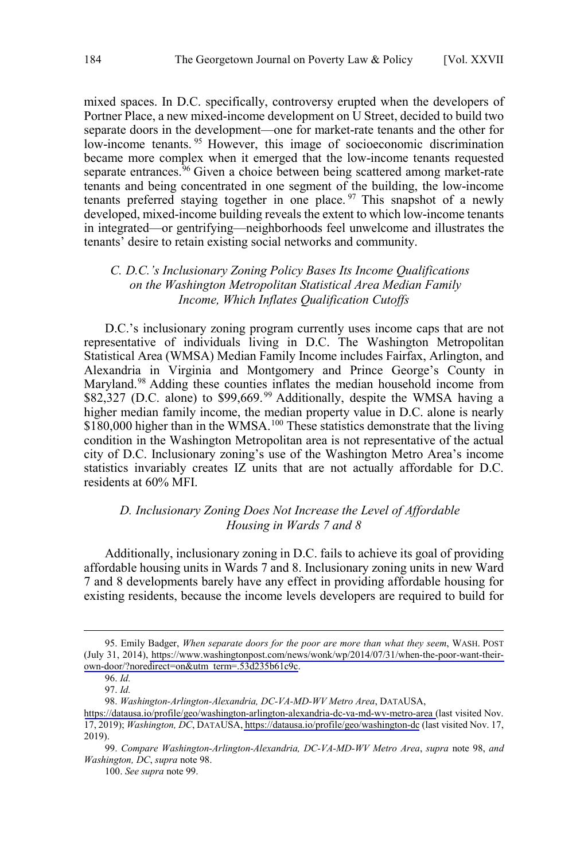<span id="page-13-0"></span>mixed spaces. In D.C. specifically, controversy erupted when the developers of Portner Place, a new mixed-income development on U Street, decided to build two separate doors in the development—one for market-rate tenants and the other for low-income tenants.<sup>95</sup> However, this image of socioeconomic discrimination became more complex when it emerged that the low-income tenants requested separate entrances.<sup>96</sup> Given a choice between being scattered among market-rate tenants and being concentrated in one segment of the building, the low-income tenants preferred staying together in one place.  $97$  This snapshot of a newly developed, mixed-income building reveals the extent to which low-income tenants in integrated—or gentrifying—neighborhoods feel unwelcome and illustrates the tenants' desire to retain existing social networks and community.

## *C. D.C.'s Inclusionary Zoning Policy Bases Its Income Qualifications on the Washington Metropolitan Statistical Area Median Family Income, Which Inflates Qualification Cutoffs*

D.C.'s inclusionary zoning program currently uses income caps that are not representative of individuals living in D.C. The Washington Metropolitan Statistical Area (WMSA) Median Family Income includes Fairfax, Arlington, and Alexandria in Virginia and Montgomery and Prince George's County in Maryland.<sup>98</sup> Adding these counties inflates the median household income from \$82,327 (D.C. alone) to \$99,669.<sup>99</sup> Additionally, despite the WMSA having a higher median family income, the median property value in D.C. alone is nearly \$180,000 higher than in the WMSA.<sup>100</sup> These statistics demonstrate that the living condition in the Washington Metropolitan area is not representative of the actual city of D.C. Inclusionary zoning's use of the Washington Metro Area's income statistics invariably creates IZ units that are not actually affordable for D.C. residents at 60% MFI.

### *D. Inclusionary Zoning Does Not Increase the Level of Affordable Housing in Wards 7 and 8*

Additionally, inclusionary zoning in D.C. fails to achieve its goal of providing affordable housing units in Wards 7 and 8. Inclusionary zoning units in new Ward 7 and 8 developments barely have any effect in providing affordable housing for existing residents, because the income levels developers are required to build for

<sup>95.</sup> Emily Badger, When separate doors for the poor are more than what they seem, WASH. POST (July 31, 2014), [https://www.washingtonpost.com/news/wonk/wp/2014/07/31/when-the-poor-want-their](https://www.washingtonpost.com/news/wonk/wp/2014/07/31/when-the-poor-want-their-own-door/?noredirect=on&utm_term=.53d235b61c9c)[own-door/?noredirect=on&utm\\_term=.53d235b61c9c.](https://www.washingtonpost.com/news/wonk/wp/2014/07/31/when-the-poor-want-their-own-door/?noredirect=on&utm_term=.53d235b61c9c)

<sup>96.</sup> *Id.*

<sup>97.</sup> *Id.*

*Washington-Arlington-Alexandria, DC-VA-MD-WV Metro Area*, DATAUSA, 98.

<https://datausa.io/profile/geo/washington-arlington-alexandria-dc-va-md-wv-metro-area> (last visited Nov. 17, 2019); *Washington, DC*, DATAUSA,<https://datausa.io/profile/geo/washington-dc> (last visited Nov. 17, 2019).

<sup>99.</sup> *Compare Washington-Arlington-Alexandria, DC-VA-MD-WV Metro Area*, *supra* note 98, *and Washington, DC*, *supra* note 98.

<sup>100.</sup> *See supra* note 99.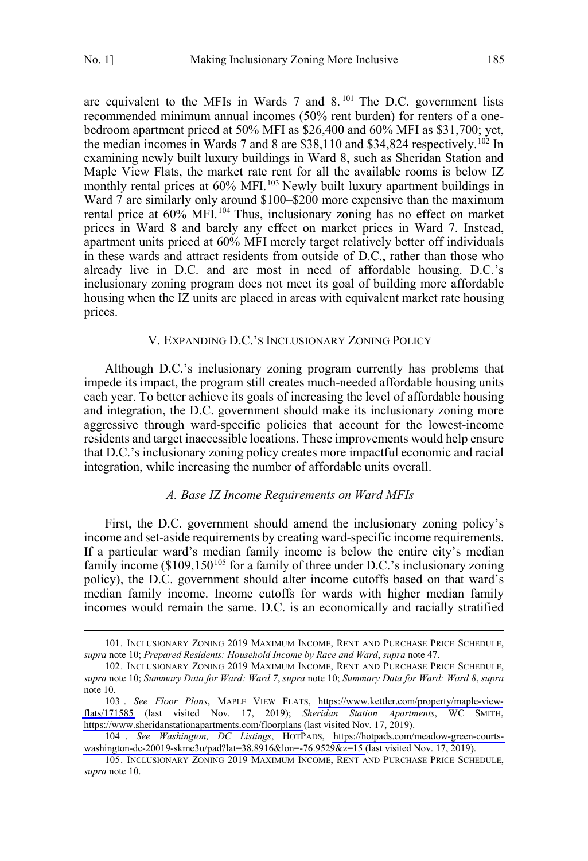$\overline{a}$ 

<span id="page-14-0"></span>are equivalent to the MFIs in Wards  $7$  and  $8$ . <sup>101</sup> The D.C. government lists recommended minimum annual incomes (50% rent burden) for renters of a onebedroom apartment priced at 50% MFI as \$26,400 and 60% MFI as \$31,700; yet, the median incomes in Wards 7 and 8 are  $$38,110$  and  $$34,824$  respectively.<sup>102</sup> In examining newly built luxury buildings in Ward 8, such as Sheridan Station and Maple View Flats, the market rate rent for all the available rooms is below IZ monthly rental prices at 60% MFI.<sup>103</sup> Newly built luxury apartment buildings in Ward 7 are similarly only around \$100–\$200 more expensive than the maximum rental price at 60% MFI.<sup>104</sup> Thus, inclusionary zoning has no effect on market prices in Ward 8 and barely any effect on market prices in Ward 7. Instead, apartment units priced at 60% MFI merely target relatively better off individuals in these wards and attract residents from outside of D.C., rather than those who already live in D.C. and are most in need of affordable housing. D.C.'s inclusionary zoning program does not meet its goal of building more affordable housing when the IZ units are placed in areas with equivalent market rate housing prices.

## V. EXPANDING D.C.'S INCLUSIONARY ZONING POLICY

Although D.C.'s inclusionary zoning program currently has problems that impede its impact, the program still creates much-needed affordable housing units each year. To better achieve its goals of increasing the level of affordable housing and integration, the D.C. government should make its inclusionary zoning more aggressive through ward-specific policies that account for the lowest-income residents and target inaccessible locations. These improvements would help ensure that D.C.'s inclusionary zoning policy creates more impactful economic and racial integration, while increasing the number of affordable units overall.

#### *A. Base IZ Income Requirements on Ward MFIs*

First, the D.C. government should amend the inclusionary zoning policy's income and set-aside requirements by creating ward-specific income requirements. If a particular ward's median family income is below the entire city's median family income  $(\$109,150^{105}$  for a family of three under D.C.'s inclusionary zoning policy), the D.C. government should alter income cutoffs based on that ward's median family income. Income cutoffs for wards with higher median family incomes would remain the same. D.C. is an economically and racially stratified

<sup>101.</sup> INCLUSIONARY ZONING 2019 MAXIMUM INCOME, RENT AND PURCHASE PRICE SCHEDULE, *supra* note 10; *Prepared Residents: Household Income by Race and Ward*, *supra* note 47.

<sup>102.</sup> INCLUSIONARY ZONING 2019 MAXIMUM INCOME, RENT AND PURCHASE PRICE SCHEDULE, *supra* note 10; *Summary Data for Ward: Ward 7*, *supra* note 10; *Summary Data for Ward: Ward 8*, *supra* note 10.

*See Floor Plans*, MAPLE VIEW FLATS, [https://www.kettler.com/property/maple-view-](https://www.kettler.com/property/maple-view-flats/171585)103 . [flats/171585](https://www.kettler.com/property/maple-view-flats/171585) (last visited Nov. 17, 2019); *Sheridan Station Apartments*, WC SMITH, <https://www.sheridanstationapartments.com/floorplans> (last visited Nov. 17, 2019).

*See Washington, DC Listings*, HOTPADS, [https://hotpads.com/meadow-green-courts-](https://hotpads.com/meadow-green-courts-washington-dc-20019-skme3u/pad?lat=38.8916&lon=-76.9529&z=15)104 . [washington-dc-20019-skme3u/pad?lat=38.8916&lon=-76.9529&z=15](https://hotpads.com/meadow-green-courts-washington-dc-20019-skme3u/pad?lat=38.8916&lon=-76.9529&z=15) (last visited Nov. 17, 2019).

<sup>105.</sup> INCLUSIONARY ZONING 2019 MAXIMUM INCOME, RENT AND PURCHASE PRICE SCHEDULE, *supra* note 10.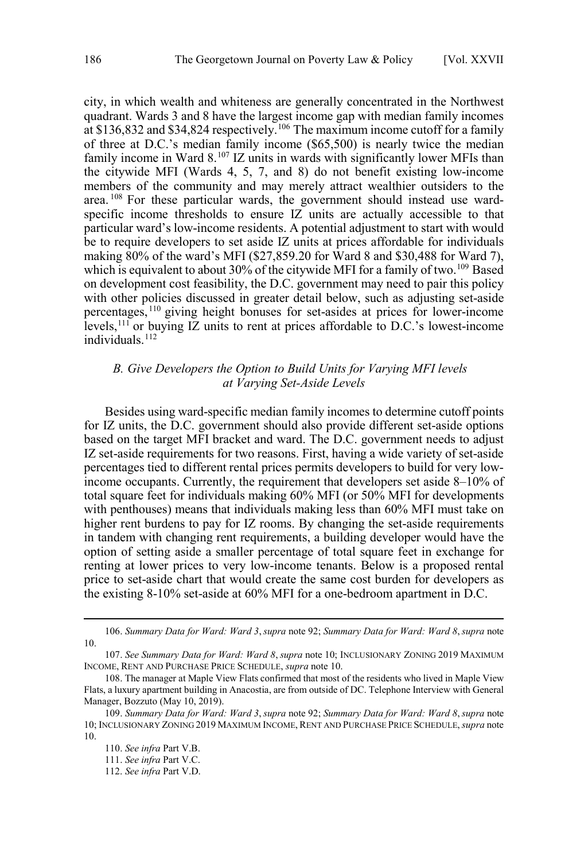<span id="page-15-0"></span>city, in which wealth and whiteness are generally concentrated in the Northwest quadrant. Wards 3 and 8 have the largest income gap with median family incomes at \$136,832 and \$34,824 respectively.<sup>106</sup> The maximum income cutoff for a family of three at D.C.'s median family income (\$65,500) is nearly twice the median family income in Ward 8.<sup>107</sup> IZ units in wards with significantly lower MFIs than the citywide MFI (Wards 4, 5, 7, and 8) do not benefit existing low-income members of the community and may merely attract wealthier outsiders to the area. <sup>108</sup> For these particular wards, the government should instead use wardspecific income thresholds to ensure IZ units are actually accessible to that particular ward's low-income residents. A potential adjustment to start with would be to require developers to set aside IZ units at prices affordable for individuals making 80% of the ward's MFI (\$27,859.20 for Ward 8 and \$30,488 for Ward 7), which is equivalent to about 30% of the citywide MFI for a family of two.<sup>109</sup> Based on development cost feasibility, the D.C. government may need to pair this policy with other policies discussed in greater detail below, such as adjusting set-aside percentages,<sup>110</sup> giving height bonuses for set-asides at prices for lower-income levels,<sup>111</sup> or buying  $\overline{IZ}$  units to rent at prices affordable to D.C.'s lowest-income individuals.<sup>112</sup>

## *B. Give Developers the Option to Build Units for Varying MFI levels at Varying Set-Aside Levels*

Besides using ward-specific median family incomes to determine cutoff points for IZ units, the D.C. government should also provide different set-aside options based on the target MFI bracket and ward. The D.C. government needs to adjust IZ set-aside requirements for two reasons. First, having a wide variety of set-aside percentages tied to different rental prices permits developers to build for very lowincome occupants. Currently, the requirement that developers set aside 8–10% of total square feet for individuals making 60% MFI (or 50% MFI for developments with penthouses) means that individuals making less than 60% MFI must take on higher rent burdens to pay for IZ rooms. By changing the set-aside requirements in tandem with changing rent requirements, a building developer would have the option of setting aside a smaller percentage of total square feet in exchange for renting at lower prices to very low-income tenants. Below is a proposed rental price to set-aside chart that would create the same cost burden for developers as the existing 8-10% set-aside at 60% MFI for a one-bedroom apartment in D.C.

<sup>106.</sup> *Summary Data for Ward: Ward 3*, *supra* note 92; *Summary Data for Ward: Ward 8*, *supra* note 10.

<sup>107.</sup> *See Summary Data for Ward: Ward 8*, *supra* note 10; INCLUSIONARY ZONING 2019 MAXIMUM INCOME, RENT AND PURCHASE PRICE SCHEDULE, *supra* note 10.

<sup>108.</sup> The manager at Maple View Flats confirmed that most of the residents who lived in Maple View Flats, a luxury apartment building in Anacostia, are from outside of DC. Telephone Interview with General Manager, Bozzuto (May 10, 2019).

<sup>109.</sup> *Summary Data for Ward: Ward 3*, *supra* note 92; *Summary Data for Ward: Ward 8*, *supra* note 10; INCLUSIONARY ZONING 2019 MAXIMUM INCOME, RENT AND PURCHASE PRICE SCHEDULE, *supra* note 10.

<sup>110.</sup> *See infra* Part V.B.

<sup>111.</sup> *See infra* Part V.C.

<sup>112.</sup> *See infra* Part V.D.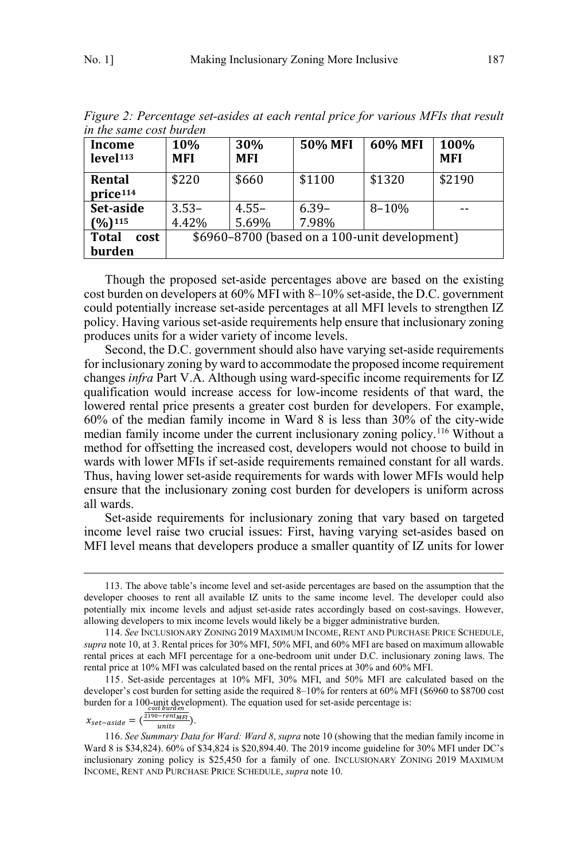| in the same cost burden             |                                               |                   |                  |           |                    |  |  |
|-------------------------------------|-----------------------------------------------|-------------------|------------------|-----------|--------------------|--|--|
| Income<br>level <sup>113</sup>      | 10%<br>MFI                                    | 30%<br><b>MFI</b> | <b>50% MFI</b>   | 60% MFI   | 100%<br><b>MFI</b> |  |  |
| Rental<br>price <sup>114</sup>      | \$220                                         | \$660             | \$1100           | \$1320    | \$2190             |  |  |
| Set-aside<br>$(9/0)$ <sup>115</sup> | $3.53-$<br>4.42%                              | $4.55 -$<br>5.69% | $6.39-$<br>7.98% | $8 - 10%$ |                    |  |  |
| <b>Total</b><br>cost<br>burden      | \$6960-8700 (based on a 100-unit development) |                   |                  |           |                    |  |  |

*Figure 2: Percentage set-asides at each rental price for various MFIs that result in the same cost burden* 

Though the proposed set-aside percentages above are based on the existing cost burden on developers at 60% MFI with 8–10% set-aside, the D.C. government could potentially increase set-aside percentages at all MFI levels to strengthen IZ policy. Having various set-aside requirements help ensure that inclusionary zoning produces units for a wider variety of income levels.

Second, the D.C. government should also have varying set-aside requirements for inclusionary zoning by ward to accommodate the proposed income requirement changes *infra* Part V.A. Although using ward-specific income requirements for IZ qualification would increase access for low-income residents of that ward, the lowered rental price presents a greater cost burden for developers. For example, 60% of the median family income in Ward 8 is less than 30% of the city-wide median family income under the current inclusionary zoning policy.116 Without a method for offsetting the increased cost, developers would not choose to build in wards with lower MFIs if set-aside requirements remained constant for all wards. Thus, having lower set-aside requirements for wards with lower MFIs would help ensure that the inclusionary zoning cost burden for developers is uniform across all wards.

Set-aside requirements for inclusionary zoning that vary based on targeted income level raise two crucial issues: First, having varying set-asides based on MFI level means that developers produce a smaller quantity of IZ units for lower

 $x_{set-}$  = (  $\frac{cost\,burch}{\frac{2190-rent_{MFI}}{units}}$ ).

<sup>113.</sup> The above table's income level and set-aside percentages are based on the assumption that the developer chooses to rent all available IZ units to the same income level. The developer could also potentially mix income levels and adjust set-aside rates accordingly based on cost-savings. However, allowing developers to mix income levels would likely be a bigger administrative burden.

<sup>114.</sup> *See* INCLUSIONARY ZONING 2019 MAXIMUM INCOME, RENT AND PURCHASE PRICE SCHEDULE, *supra* note 10, at 3. Rental prices for 30% MFI, 50% MFI, and 60% MFI are based on maximum allowable rental prices at each MFI percentage for a one-bedroom unit under D.C. inclusionary zoning laws. The rental price at 10% MFI was calculated based on the rental prices at 30% and 60% MFI.

<sup>115.</sup> Set-aside percentages at 10% MFI, 30% MFI, and 50% MFI are calculated based on the developer's cost burden for setting aside the required 8–10% for renters at 60% MFI (\$6960 to \$8700 cost burden for a 100-unit development). The equation used for set-aside percentage is:

<sup>116.</sup> *See Summary Data for Ward: Ward 8*, *supra* note 10 (showing that the median family income in Ward 8 is \$34,824). 60% of \$34,824 is \$20,894.40. The 2019 income guideline for 30% MFI under DC's inclusionary zoning policy is \$25,450 for a family of one. INCLUSIONARY ZONING 2019 MAXIMUM INCOME, RENT AND PURCHASE PRICE SCHEDULE, *supra* note 10.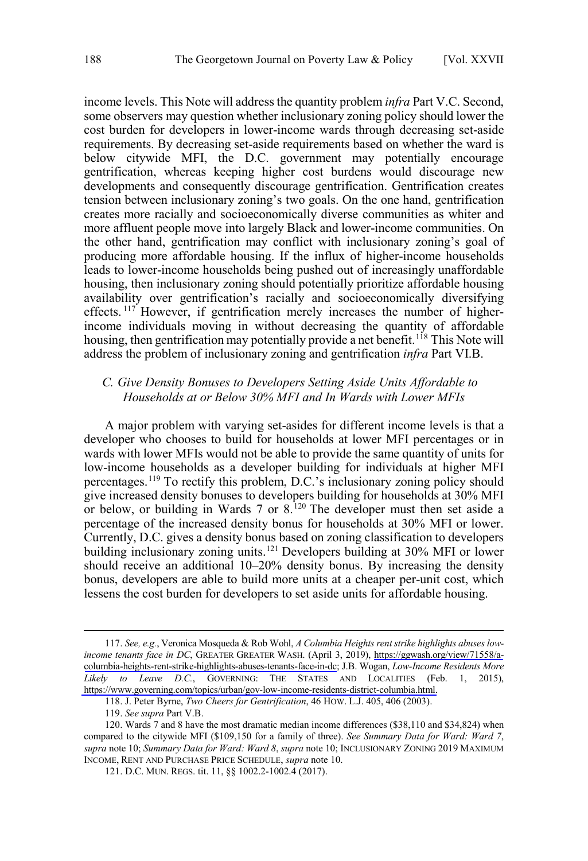<span id="page-17-0"></span>income levels. This Note will address the quantity problem *infra* Part V.C. Second, some observers may question whether inclusionary zoning policy should lower the cost burden for developers in lower-income wards through decreasing set-aside requirements. By decreasing set-aside requirements based on whether the ward is below citywide MFI, the D.C. government may potentially encourage gentrification, whereas keeping higher cost burdens would discourage new developments and consequently discourage gentrification. Gentrification creates tension between inclusionary zoning's two goals. On the one hand, gentrification creates more racially and socioeconomically diverse communities as whiter and more affluent people move into largely Black and lower-income communities. On the other hand, gentrification may conflict with inclusionary zoning's goal of producing more affordable housing. If the influx of higher-income households leads to lower-income households being pushed out of increasingly unaffordable housing, then inclusionary zoning should potentially prioritize affordable housing availability over gentrification's racially and socioeconomically diversifying effects.<sup>117</sup> However, if gentrification merely increases the number of higherincome individuals moving in without decreasing the quantity of affordable housing, then gentrification may potentially provide a net benefit.<sup>118</sup> This Note will address the problem of inclusionary zoning and gentrification *infra* Part VI.B.

## *C. Give Density Bonuses to Developers Setting Aside Units Affordable to Households at or Below 30% MFI and In Wards with Lower MFIs*

A major problem with varying set-asides for different income levels is that a developer who chooses to build for households at lower MFI percentages or in wards with lower MFIs would not be able to provide the same quantity of units for low-income households as a developer building for individuals at higher MFI percentages.119 To rectify this problem, D.C.'s inclusionary zoning policy should give increased density bonuses to developers building for households at 30% MFI or below, or building in Wards 7 or  $8.120$  The developer must then set aside a percentage of the increased density bonus for households at 30% MFI or lower. Currently, D.C. gives a density bonus based on zoning classification to developers building inclusionary zoning units.<sup>121</sup> Developers building at 30% MFI or lower should receive an additional 10–20% density bonus. By increasing the density bonus, developers are able to build more units at a cheaper per-unit cost, which lessens the cost burden for developers to set aside units for affordable housing.

*See, e.g.*, Veronica Mosqueda & Rob Wohl, *A Columbia Heights rent strike highlights abuses low-*117. *income tenants face in DC*, GREATER GREATER WASH. (April 3, 2019), [https://ggwash.org/view/71558/a](https://ggwash.org/view/71558/a-columbia-heights-rent-strike-highlights-abuses-tenants-face-in-dc)[columbia-heights-rent-strike-highlights-abuses-tenants-face-in-dc;](https://ggwash.org/view/71558/a-columbia-heights-rent-strike-highlights-abuses-tenants-face-in-dc) J.B. Wogan, *Low-Income Residents More Likely to Leave D.C.*, GOVERNING: THE STATES AND LOCALITIES (Feb. 1, 2015), [https://www.governing.com/topics/urban/gov-low-income-residents-district-columbia.html.](https://www.governing.com/topics/urban/gov-low-income-residents-district-columbia.html)

<sup>118.</sup> J. Peter Byrne, *Two Cheers for Gentrification*, 46 HOW. L.J. 405, 406 (2003).

<sup>119.</sup> *See supra* Part V.B.

<sup>120.</sup> Wards 7 and 8 have the most dramatic median income differences (\$38,110 and \$34,824) when compared to the citywide MFI (\$109,150 for a family of three). *See Summary Data for Ward: Ward 7*, *supra* note 10; *Summary Data for Ward: Ward 8*, *supra* note 10; INCLUSIONARY ZONING 2019 MAXIMUM INCOME, RENT AND PURCHASE PRICE SCHEDULE, *supra* note 10.

<sup>121.</sup> D.C. MUN. REGS. tit. 11, §§ 1002.2-1002.4 (2017).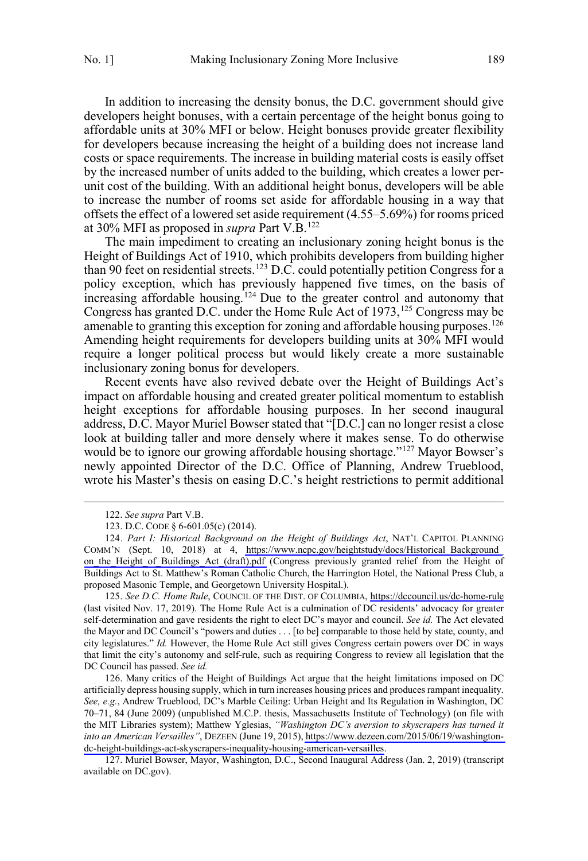In addition to increasing the density bonus, the D.C. government should give developers height bonuses, with a certain percentage of the height bonus going to affordable units at 30% MFI or below. Height bonuses provide greater flexibility for developers because increasing the height of a building does not increase land costs or space requirements. The increase in building material costs is easily offset by the increased number of units added to the building, which creates a lower perunit cost of the building. With an additional height bonus, developers will be able to increase the number of rooms set aside for affordable housing in a way that offsets the effect of a lowered set aside requirement (4.55–5.69%) for rooms priced at 30% MFI as proposed in *supra* Part V.B.122

The main impediment to creating an inclusionary zoning height bonus is the Height of Buildings Act of 1910, which prohibits developers from building higher than 90 feet on residential streets.<sup>123</sup> D.C. could potentially petition Congress for a policy exception, which has previously happened five times, on the basis of increasing affordable housing.<sup>124</sup> Due to the greater control and autonomy that Congress has granted D.C. under the Home Rule Act of  $1973$ ,  $^{125}$  Congress may be amenable to granting this exception for zoning and affordable housing purposes.<sup>126</sup> Amending height requirements for developers building units at 30% MFI would require a longer political process but would likely create a more sustainable inclusionary zoning bonus for developers.

Recent events have also revived debate over the Height of Buildings Act's impact on affordable housing and created greater political momentum to establish height exceptions for affordable housing purposes. In her second inaugural address, D.C. Mayor Muriel Bowser stated that "[D.C.] can no longer resist a close look at building taller and more densely where it makes sense. To do otherwise would be to ignore our growing affordable housing shortage."<sup>127</sup> Mayor Bowser's newly appointed Director of the D.C. Office of Planning, Andrew Trueblood, wrote his Master's thesis on easing D.C.'s height restrictions to permit additional

 $\overline{a}$ 

125. See D.C. Home Rule, COUNCIL OF THE DIST. OF COLUMBIA,<https://dccouncil.us/dc-home-rule> (last visited Nov. 17, 2019). The Home Rule Act is a culmination of DC residents' advocacy for greater self-determination and gave residents the right to elect DC's mayor and council. *See id.* The Act elevated the Mayor and DC Council's "powers and duties . . . [to be] comparable to those held by state, county, and city legislatures." *Id.* However, the Home Rule Act still gives Congress certain powers over DC in ways that limit the city's autonomy and self-rule, such as requiring Congress to review all legislation that the DC Council has passed. *See id.*

126. Many critics of the Height of Buildings Act argue that the height limitations imposed on DC artificially depress housing supply, which in turn increases housing prices and produces rampant inequality. *See, e.g.*, Andrew Trueblood, DC's Marble Ceiling: Urban Height and Its Regulation in Washington, DC 70–71, 84 (June 2009) (unpublished M.C.P. thesis, Massachusetts Institute of Technology) (on file with the MIT Libraries system); Matthew Yglesias, *"Washington DC's aversion to skyscrapers has turned it into an American Versailles"*, DEZEEN (June 19, 2015), [https://www.dezeen.com/2015/06/19/washington](https://www.dezeen.com/2015/06/19/washington-dc-height-buildings-act-skyscrapers-inequality-housing-american-versailles)[dc-height-buildings-act-skyscrapers-inequality-housing-american-versailles.](https://www.dezeen.com/2015/06/19/washington-dc-height-buildings-act-skyscrapers-inequality-housing-american-versailles)

127. Muriel Bowser, Mayor, Washington, D.C., Second Inaugural Address (Jan. 2, 2019) (transcript available on DC.gov).

<sup>122.</sup> *See supra* Part V.B.

<sup>123.</sup> D.C. CODE § 6-601.05(c) (2014).

<sup>124.</sup> Part I: Historical Background on the Height of Buildings Act, NAT'L CAPITOL PLANNING COMM'N (Sept. 10, 2018) at 4, https://www.ncpc.gov/heightstudy/docs/Historical Background on the Height of Buildings\_Act\_(draft).pdf (Congress previously granted relief from the Height of Buildings Act to St. Matthew's Roman Catholic Church, the Harrington Hotel, the National Press Club, a proposed Masonic Temple, and Georgetown University Hospital.).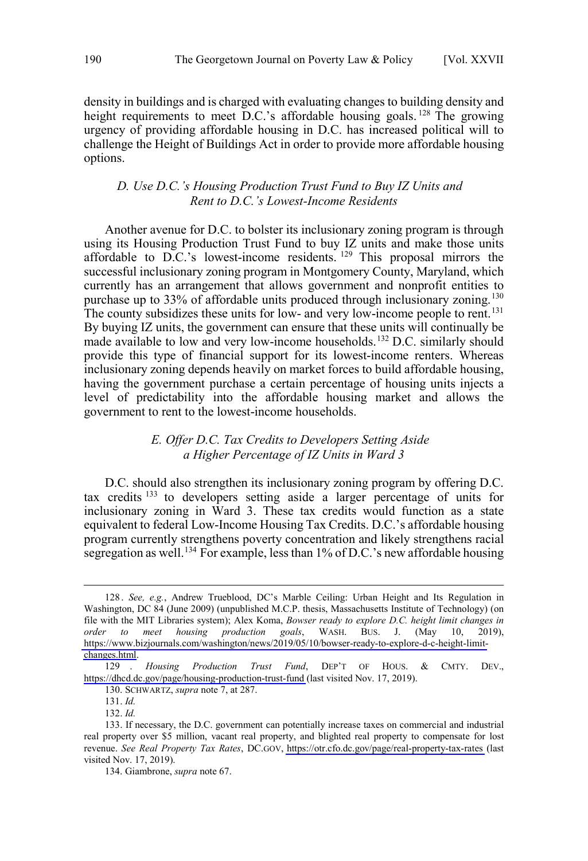<span id="page-19-0"></span>density in buildings and is charged with evaluating changes to building density and height requirements to meet D.C.'s affordable housing goals.<sup>128</sup> The growing urgency of providing affordable housing in D.C. has increased political will to challenge the Height of Buildings Act in order to provide more affordable housing options.

## *D. Use D.C.'s Housing Production Trust Fund to Buy IZ Units and Rent to D.C.'s Lowest-Income Residents*

Another avenue for D.C. to bolster its inclusionary zoning program is through using its Housing Production Trust Fund to buy IZ units and make those units affordable to D.C.'s lowest-income residents.  $129$  This proposal mirrors the successful inclusionary zoning program in Montgomery County, Maryland, which currently has an arrangement that allows government and nonprofit entities to purchase up to 33% of affordable units produced through inclusionary zoning.<sup>130</sup> The county subsidizes these units for low- and very low-income people to rent.<sup>131</sup> By buying IZ units, the government can ensure that these units will continually be made available to low and very low-income households.<sup>132</sup> D.C. similarly should provide this type of financial support for its lowest-income renters. Whereas inclusionary zoning depends heavily on market forces to build affordable housing, having the government purchase a certain percentage of housing units injects a level of predictability into the affordable housing market and allows the government to rent to the lowest-income households.

#### *E. Offer D.C. Tax Credits to Developers Setting Aside a Higher Percentage of IZ Units in Ward 3*

D.C. should also strengthen its inclusionary zoning program by offering D.C. tax credits <sup>133</sup> to developers setting aside a larger percentage of units for inclusionary zoning in Ward 3. These tax credits would function as a state equivalent to federal Low-Income Housing Tax Credits. D.C.'s affordable housing program currently strengthens poverty concentration and likely strengthens racial segregation as well.<sup>134</sup> For example, less than  $1\%$  of D.C.'s new affordable housing

<sup>128.</sup> See, e.g., Andrew Trueblood, DC's Marble Ceiling: Urban Height and Its Regulation in Washington, DC 84 (June 2009) (unpublished M.C.P. thesis, Massachusetts Institute of Technology) (on file with the MIT Libraries system); Alex Koma, *Bowser ready to explore D.C. height limit changes in order to meet housing production goals*, WASH. BUS. J. (May 10, 2019), [https://www.bizjournals.com/washington/news/2019/05/10/bowser-ready-to-explore-d-c-height-limit](https://www.bizjournals.com/washington/news/2019/05/10/bowser-ready-to-explore-d-c-height-limit-changes.html)[changes.html](https://www.bizjournals.com/washington/news/2019/05/10/bowser-ready-to-explore-d-c-height-limit-changes.html).

*Housing Production Trust Fund*, DEP'T OF HOUS. & CMTY. DEV., <https://dhcd.dc.gov/page/housing-production-trust-fund> (last visited Nov. 17, 2019). 129 .

<sup>130.</sup> SCHWARTZ, *supra* note 7, at 287.

<sup>131.</sup> *Id.*

<sup>132.</sup> *Id.*

<sup>133.</sup> If necessary, the D.C. government can potentially increase taxes on commercial and industrial real property over \$5 million, vacant real property, and blighted real property to compensate for lost revenue. *See Real Property Tax Rates*, DC.GOV, <https://otr.cfo.dc.gov/page/real-property-tax-rates> (last visited Nov. 17, 2019).

<sup>134.</sup> Giambrone, *supra* note 67.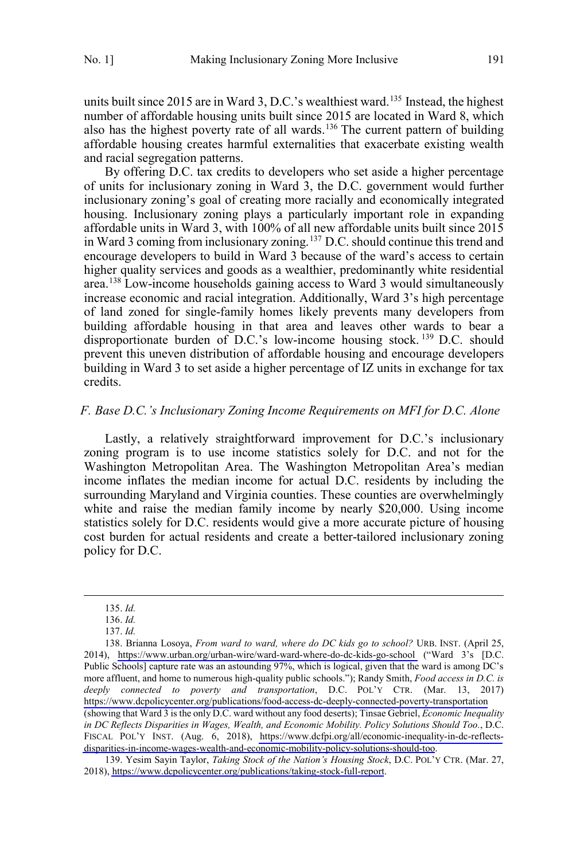<span id="page-20-0"></span>units built since 2015 are in Ward 3, D.C.'s wealthiest ward.<sup>135</sup> Instead, the highest number of affordable housing units built since 2015 are located in Ward 8, which also has the highest poverty rate of all wards.<sup>136</sup> The current pattern of building affordable housing creates harmful externalities that exacerbate existing wealth and racial segregation patterns.

By offering D.C. tax credits to developers who set aside a higher percentage of units for inclusionary zoning in Ward 3, the D.C. government would further inclusionary zoning's goal of creating more racially and economically integrated housing. Inclusionary zoning plays a particularly important role in expanding affordable units in Ward 3, with 100% of all new affordable units built since 2015 in Ward 3 coming from inclusionary zoning.<sup>137</sup> D.C. should continue this trend and encourage developers to build in Ward 3 because of the ward's access to certain higher quality services and goods as a wealthier, predominantly white residential area.<sup>138</sup> Low-income households gaining access to Ward 3 would simultaneously increase economic and racial integration. Additionally, Ward 3's high percentage of land zoned for single-family homes likely prevents many developers from building affordable housing in that area and leaves other wards to bear a disproportionate burden of D.C.'s low-income housing stock.<sup>139</sup> D.C. should prevent this uneven distribution of affordable housing and encourage developers building in Ward 3 to set aside a higher percentage of IZ units in exchange for tax credits.

#### *F. Base D.C.'s Inclusionary Zoning Income Requirements on MFI for D.C. Alone*

Lastly, a relatively straightforward improvement for D.C.'s inclusionary zoning program is to use income statistics solely for D.C. and not for the Washington Metropolitan Area. The Washington Metropolitan Area's median income inflates the median income for actual D.C. residents by including the surrounding Maryland and Virginia counties. These counties are overwhelmingly white and raise the median family income by nearly \$20,000. Using income statistics solely for D.C. residents would give a more accurate picture of housing cost burden for actual residents and create a better-tailored inclusionary zoning policy for D.C.

 $\overline{a}$ 

139. Yesim Sayin Taylor, *Taking Stock of the Nation's Housing Stock*, D.C. POL'Y CTR. (Mar. 27, 2018),<https://www.dcpolicycenter.org/publications/taking-stock-full-report>.

<sup>135.</sup> *Id.*

<sup>136.</sup> *Id.*

<sup>137.</sup> *Id.*

<sup>138.</sup> Brianna Losoya, From ward to ward, where do DC kids go to school? URB. INST. (April 25, 2014), <https://www.urban.org/urban-wire/ward-ward-where-do-dc-kids-go-school> ("Ward 3's [D.C. Public Schools] capture rate was an astounding 97%, which is logical, given that the ward is among DC's more affluent, and home to numerous high-quality public schools."); Randy Smith, *Food access in D.C. is deeply connected to poverty and transportation*, D.C. POL'Y CTR. (Mar. 13, 2017) <https://www.dcpolicycenter.org/publications/food-access-dc-deeply-connected-poverty-transportation> (showing that Ward 3 is the only D.C. ward without any food deserts); Tinsae Gebriel, *Economic Inequality in DC Reflects Disparities in Wages, Wealth, and Economic Mobility. Policy Solutions Should Too.*, D.C. FISCAL POL'Y INST. (Aug. 6, 2018), [https://www.dcfpi.org/all/economic-inequality-in-dc-reflects](https://www.dcfpi.org/all/economic-inequality-in-dc-reflects-disparities-in-income-wages-wealth-and-economic-mobility-policy-solutions-should-too)[disparities-in-income-wages-wealth-and-economic-mobility-policy-solutions-should-too](https://www.dcfpi.org/all/economic-inequality-in-dc-reflects-disparities-in-income-wages-wealth-and-economic-mobility-policy-solutions-should-too).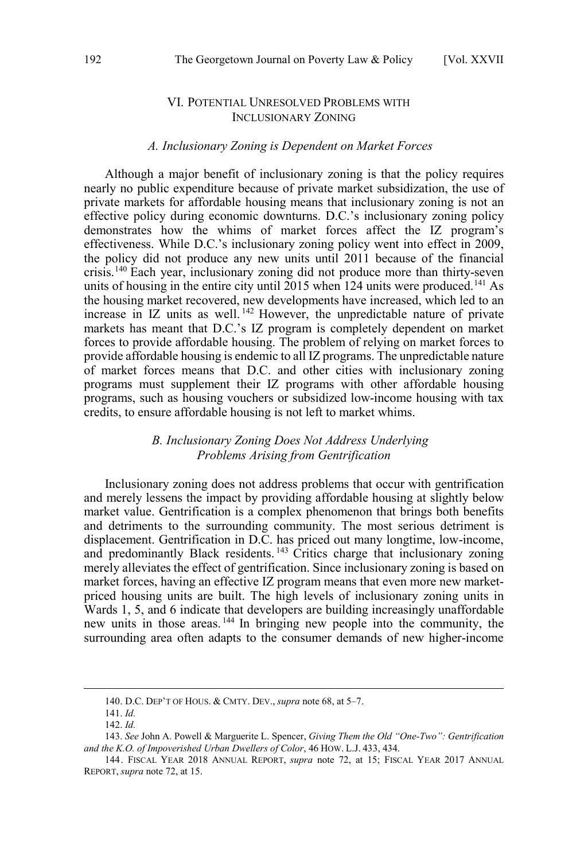## VI. POTENTIAL UNRESOLVED PROBLEMS WITH INCLUSIONARY ZONING

## *A. Inclusionary Zoning is Dependent on Market Forces*

<span id="page-21-0"></span>Although a major benefit of inclusionary zoning is that the policy requires nearly no public expenditure because of private market subsidization, the use of private markets for affordable housing means that inclusionary zoning is not an effective policy during economic downturns. D.C.'s inclusionary zoning policy demonstrates how the whims of market forces affect the IZ program's effectiveness. While D.C.'s inclusionary zoning policy went into effect in 2009, the policy did not produce any new units until 2011 because of the financial crisis.<sup>140</sup> Each year, inclusionary zoning did not produce more than thirty-seven units of housing in the entire city until  $2015$  when 124 units were produced.<sup>141</sup> As the housing market recovered, new developments have increased, which led to an increase in IZ units as well. <sup>142</sup> However, the unpredictable nature of private markets has meant that D.C.'s IZ program is completely dependent on market forces to provide affordable housing. The problem of relying on market forces to provide affordable housing is endemic to all IZ programs. The unpredictable nature of market forces means that D.C. and other cities with inclusionary zoning programs must supplement their IZ programs with other affordable housing programs, such as housing vouchers or subsidized low-income housing with tax credits, to ensure affordable housing is not left to market whims.

## *B. Inclusionary Zoning Does Not Address Underlying Problems Arising from Gentrification*

Inclusionary zoning does not address problems that occur with gentrification and merely lessens the impact by providing affordable housing at slightly below market value. Gentrification is a complex phenomenon that brings both benefits and detriments to the surrounding community. The most serious detriment is displacement. Gentrification in D.C. has priced out many longtime, low-income, and predominantly Black residents.<sup>143</sup> Critics charge that inclusionary zoning merely alleviates the effect of gentrification. Since inclusionary zoning is based on market forces, having an effective IZ program means that even more new marketpriced housing units are built. The high levels of inclusionary zoning units in Wards 1, 5, and 6 indicate that developers are building increasingly unaffordable new units in those areas. <sup>144</sup> In bringing new people into the community, the surrounding area often adapts to the consumer demands of new higher-income

<sup>140.</sup> D.C. DEP'T OF HOUS. & CMTY. DEV., *supra* note 68, at 5–7.

<sup>141.</sup> *Id.*

<sup>142.</sup> *Id.*

<sup>143.</sup> *See* John A. Powell & Marguerite L. Spencer, *Giving Them the Old "One-Two": Gentrification and the K.O. of Impoverished Urban Dwellers of Color*, 46 HOW. L.J. 433, 434.

<sup>144.</sup> FISCAL YEAR 2018 ANNUAL REPORT, *supra* note 72, at 15; FISCAL YEAR 2017 ANNUAL REPORT, *supra* note 72, at 15.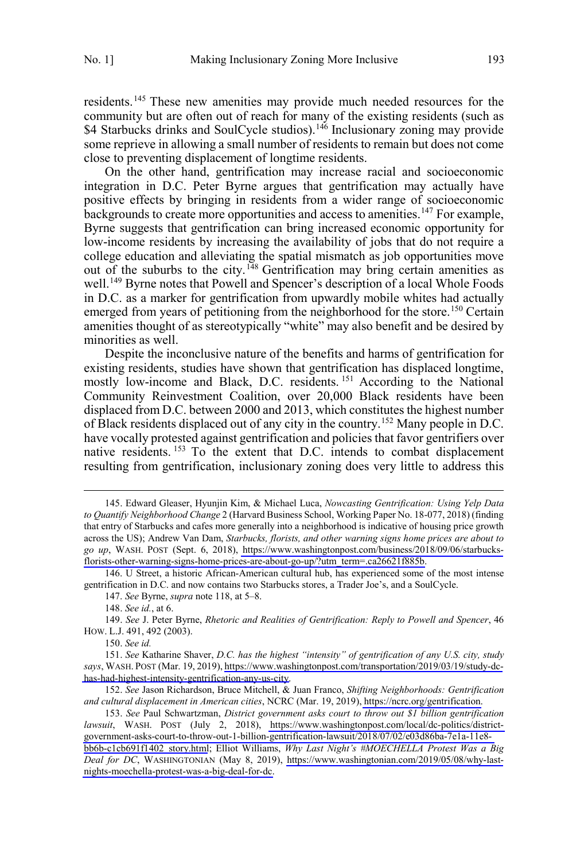residents.<sup>145</sup> These new amenities may provide much needed resources for the community but are often out of reach for many of the existing residents (such as \$4 Starbucks drinks and SoulCycle studios).<sup>146</sup> Inclusionary zoning may provide some reprieve in allowing a small number of residents to remain but does not come close to preventing displacement of longtime residents.

On the other hand, gentrification may increase racial and socioeconomic integration in D.C. Peter Byrne argues that gentrification may actually have positive effects by bringing in residents from a wider range of socioeconomic  $\overline{b}$ ackgrounds to create more opportunities and access to amenities.<sup>147</sup> For example, Byrne suggests that gentrification can bring increased economic opportunity for low-income residents by increasing the availability of jobs that do not require a college education and alleviating the spatial mismatch as job opportunities move out of the suburbs to the city.<sup>148</sup> Gentrification may bring certain amenities as well.<sup>149</sup> Byrne notes that Powell and Spencer's description of a local Whole Foods in D.C. as a marker for gentrification from upwardly mobile whites had actually emerged from years of petitioning from the neighborhood for the store.<sup>150</sup> Certain amenities thought of as stereotypically "white" may also benefit and be desired by minorities as well.

Despite the inconclusive nature of the benefits and harms of gentrification for existing residents, studies have shown that gentrification has displaced longtime, mostly low-income and Black, D.C. residents.<sup>151</sup> According to the National Community Reinvestment Coalition, over 20,000 Black residents have been displaced from D.C. between 2000 and 2013, which constitutes the highest number of Black residents displaced out of any city in the country.<sup>152</sup> Many people in D.C. have vocally protested against gentrification and policies that favor gentrifiers over native residents.<sup>153</sup> To the extent that D.C. intends to combat displacement resulting from gentrification, inclusionary zoning does very little to address this

150. *See id.*

Edward Gleaser, Hyunjin Kim, & Michael Luca, *Nowcasting Gentrification: Using Yelp Data*  145. *to Quantify Neighborhood Change* 2 (Harvard Business School, Working Paper No. 18-077, 2018) (finding that entry of Starbucks and cafes more generally into a neighborhood is indicative of housing price growth across the US); Andrew Van Dam, *Starbucks, florists, and other warning signs home prices are about to go up*, WASH. POST (Sept. 6, 2018), [https://www.washingtonpost.com/business/2018/09/06/starbucks](https://www.washingtonpost.com/business/2018/09/06/starbucks-florists-other-warning-signs-home-prices-are-about-go-up/?utm_term=.ca26621f885b)[florists-other-warning-signs-home-prices-are-about-go-up/?utm\\_term=.ca26621f885b.](https://www.washingtonpost.com/business/2018/09/06/starbucks-florists-other-warning-signs-home-prices-are-about-go-up/?utm_term=.ca26621f885b)

<sup>146.</sup> U Street, a historic African-American cultural hub, has experienced some of the most intense gentrification in D.C. and now contains two Starbucks stores, a Trader Joe's, and a SoulCycle.

<sup>147.</sup> *See* Byrne, *supra* note 118, at 5–8.

<sup>148.</sup> *See id.*, at 6.

<sup>149.</sup> *See* J. Peter Byrne, *Rhetoric and Realities of Gentrification: Reply to Powell and Spencer*, 46 HOW. L.J. 491, 492 (2003).

*See* Katharine Shaver, *D.C. has the highest "intensity" of gentrification of any U.S. city, study*  151. *says*, WASH. POST (Mar. 19, 2019), [https://www.washingtonpost.com/transportation/2019/03/19/study-dc](https://www.washingtonpost.com/transportation/2019/03/19/study-dc-has-had-highest-intensity-gentrification-any-us-city)[has-had-highest-intensity-gentrification-any-us-city.](https://www.washingtonpost.com/transportation/2019/03/19/study-dc-has-had-highest-intensity-gentrification-any-us-city)

*See* Jason Richardson, Bruce Mitchell, & Juan Franco, *Shifting Neighborhoods: Gentrification*  152. *and cultural displacement in American cities*, NCRC (Mar. 19, 2019), [https://ncrc.org/gentrification.](https://ncrc.org/gentrification)

*See* Paul Schwartzman, *District government asks court to throw out \$1 billion gentrification*  153. *lawsuit*, WASH. POST (July 2, 2018), [https://www.washingtonpost.com/local/dc-politics/district](https://www.washingtonpost.com/local/dc-politics/district-government-asks-court-to-throw-out-1-billion-gentrification-lawsuit/2018/07/02/e03d86ba-7e1a-11e8-bb6b-c1cb691f1402_story.html)[government-asks-court-to-throw-out-1-billion-gentrification-lawsuit/2018/07/02/e03d86ba-7e1a-11e8](https://www.washingtonpost.com/local/dc-politics/district-government-asks-court-to-throw-out-1-billion-gentrification-lawsuit/2018/07/02/e03d86ba-7e1a-11e8-bb6b-c1cb691f1402_story.html) [bb6b-c1cb691f1402\\_story.html](https://www.washingtonpost.com/local/dc-politics/district-government-asks-court-to-throw-out-1-billion-gentrification-lawsuit/2018/07/02/e03d86ba-7e1a-11e8-bb6b-c1cb691f1402_story.html); Elliot Williams, *Why Last Night's #MOECHELLA Protest Was a Big Deal for DC*, WASHINGTONIAN (May 8, 2019), [https://www.washingtonian.com/2019/05/08/why-last](https://www.washingtonian.com/2019/05/08/why-last-nights-moechella-protest-was-a-big-deal-for-dc)[nights-moechella-protest-was-a-big-deal-for-dc.](https://www.washingtonian.com/2019/05/08/why-last-nights-moechella-protest-was-a-big-deal-for-dc)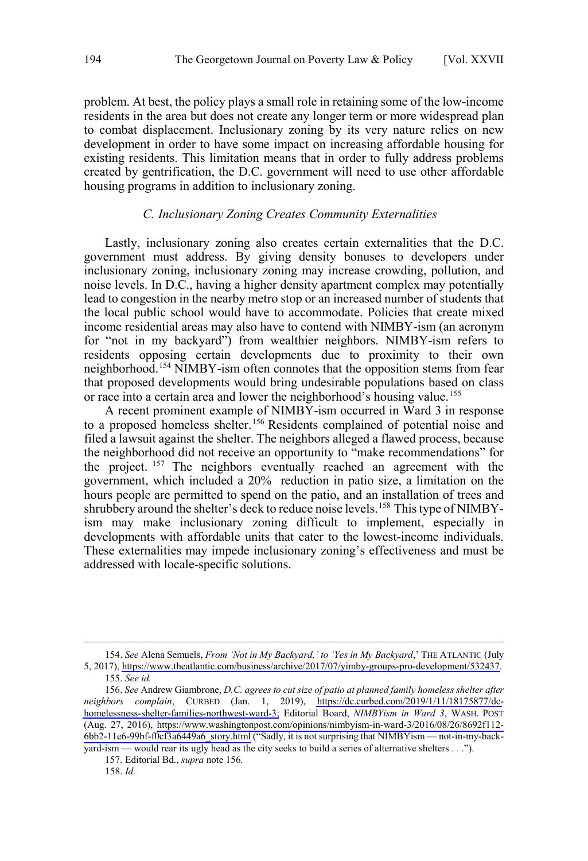<span id="page-23-0"></span>problem. At best, the policy plays a small role in retaining some of the low-income residents in the area but does not create any longer term or more widespread plan to combat displacement. Inclusionary zoning by its very nature relies on new development in order to have some impact on increasing affordable housing for existing residents. This limitation means that in order to fully address problems created by gentrification, the D.C. government will need to use other affordable housing programs in addition to inclusionary zoning.

#### *C. Inclusionary Zoning Creates Community Externalities*

Lastly, inclusionary zoning also creates certain externalities that the D.C. government must address. By giving density bonuses to developers under inclusionary zoning, inclusionary zoning may increase crowding, pollution, and noise levels. In D.C., having a higher density apartment complex may potentially lead to congestion in the nearby metro stop or an increased number of students that the local public school would have to accommodate. Policies that create mixed income residential areas may also have to contend with NIMBY-ism (an acronym for "not in my backyard") from wealthier neighbors. NIMBY-ism refers to residents opposing certain developments due to proximity to their own neighborhood.<sup>154</sup> NIMBY-ism often connotes that the opposition stems from fear that proposed developments would bring undesirable populations based on class or race into a certain area and lower the neighborhood's housing value.<sup>155</sup>

A recent prominent example of NIMBY-ism occurred in Ward 3 in response to a proposed homeless shelter.<sup>156</sup> Residents complained of potential noise and filed a lawsuit against the shelter. The neighbors alleged a flawed process, because the neighborhood did not receive an opportunity to "make recommendations" for the project. <sup>157</sup> The neighbors eventually reached an agreement with the government, which included a 20% reduction in patio size, a limitation on the hours people are permitted to spend on the patio, and an installation of trees and shrubbery around the shelter's deck to reduce noise levels.<sup>158</sup> This type of NIMBYism may make inclusionary zoning difficult to implement, especially in developments with affordable units that cater to the lowest-income individuals. These externalities may impede inclusionary zoning's effectiveness and must be addressed with locale-specific solutions.

<sup>154.</sup> See Alena Semuels, *From 'Not in My Backyard,' to 'Yes in My Backyard*,' THE ATLANTIC (July 5, 2017), [https://www.theatlantic.com/business/archive/2017/07/yimby-groups-pro-development/532437.](https://www.theatlantic.com/business/archive/2017/07/yimby-groups-pro-development/532437) 155. *See id.*

<sup>156.</sup> See Andrew Giambrone, *D.C. agrees to cut size of patio at planned family homeless shelter after neighbors complain*, CURBED (Jan. 1, 2019), [https://dc.curbed.com/2019/1/11/18175877/dc](https://dc.curbed.com/2019/1/11/18175877/dc-homelessness-shelter-families-northwest-ward-3)[homelessness-shelter-families-northwest-ward-3;](https://dc.curbed.com/2019/1/11/18175877/dc-homelessness-shelter-families-northwest-ward-3) Editorial Board, *NIMBYism in Ward 3*, WASH. POST (Aug. 27, 2016), [https://www.washingtonpost.com/opinions/nimbyism-in-ward-3/2016/08/26/8692f112-](https://www.washingtonpost.com/opinions/nimbyism-in-ward-3/2016/08/26/8692f112-6bb2-11e6-99bf-f0cf3a6449a6_story.html) [6bb2-11e6-99bf-f0cf3a6449a6\\_story.html](https://www.washingtonpost.com/opinions/nimbyism-in-ward-3/2016/08/26/8692f112-6bb2-11e6-99bf-f0cf3a6449a6_story.html) ("Sadly, it is not surprising that NIMBYism — not-in-my-backyard-ism — would rear its ugly head as the city seeks to build a series of alternative shelters . . .").

<sup>157.</sup> Editorial Bd., *supra* note 156*.*

<sup>158.</sup> *Id.*